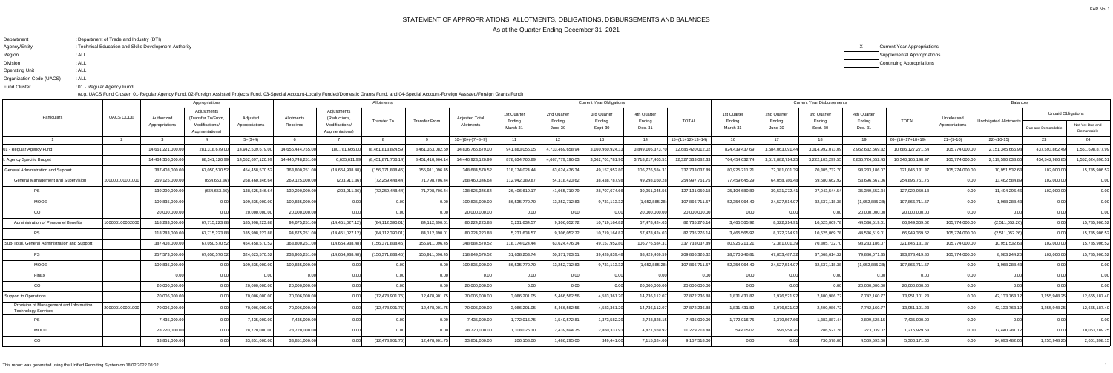# STATEMENT OF APPROPRIATIONS, ALLOTMENTS, OBLIGATIONS, DISBURSEMENTS AND BALANCES

As at the Quarter Ending December 31, 2021

| Department               | : Department of Trade and Industry (DTI)               |
|--------------------------|--------------------------------------------------------|
| Agency/Entity            | : Technical Education and Skills Development Authority |
| Region                   | : ALL                                                  |
| <b>Division</b>          | : ALL                                                  |
| <b>Operating Unit</b>    | : ALL                                                  |
| Organization Code (UACS) | : ALL                                                  |
| <b>Fund Cluster</b>      | :01 - Regular Agency Fund                              |

| X | Current Year Appropriations |
|---|-----------------------------|
|   | Supplemental Appropriations |
|   | Continuing Appropriations   |

|                                                                | Appropriations   |                   |                                   |                   | Allotments        |                                  |                    |                      |                       | <b>Current Year Obligations</b> |                   |                    |                   |                    |                    |                   | <b>Current Year Disbursements</b> |                   | <b>Balances</b>    |                   |                        |                           |                               |
|----------------------------------------------------------------|------------------|-------------------|-----------------------------------|-------------------|-------------------|----------------------------------|--------------------|----------------------|-----------------------|---------------------------------|-------------------|--------------------|-------------------|--------------------|--------------------|-------------------|-----------------------------------|-------------------|--------------------|-------------------|------------------------|---------------------------|-------------------------------|
| Particulars                                                    | <b>UACS CODE</b> | Authorized        | Adiustments<br>'Transfer To/From. | Adiusted          | Allotments        | Adjustments<br>(Reductions,      |                    |                      | <b>Adjusted Total</b> | 1st Quarter                     | 2nd Quarter       | 3rd Quarter        | 4th Quarter       | <b>TOTAL</b>       | 1st Quarter        | 2nd Quarter       | 3rd Quarter                       | 4th Quarter       | <b>TOTAL</b>       | Unreleased        |                        | <b>Unpaid Obligations</b> |                               |
|                                                                |                  | Appropriations    | Modifications/<br>Augmentations)  | Appropriations    | Received          | Modifications/<br>Augmentations) | <b>Transfer To</b> | <b>Transfer From</b> | Allotments            | Ending<br>March 31              | Ending<br>June 30 | Ending<br>Sept. 30 | Ending<br>Dec. 31 |                    | Ending<br>March 31 | Ending<br>June 30 | Ending<br>Sept. 30                | Ending<br>Dec. 31 |                    | Appropriations    | Unobligated Allotments | Due and Demandable        | Not Yet Due and<br>Demandable |
|                                                                |                  |                   |                                   | $5=(3+4)$         |                   |                                  |                    |                      | $10=[(6+(-)7)-8+9]$   | 11                              | 12                | 13                 | 14                | $15=(11+12+13+14)$ | 16                 | 17                | 18                                | 19                | $20=(16+17+18+19)$ | $21 = (5-10)$     | $22=(10-15)$           | 23                        |                               |
| Regular Agency Fund                                            |                  | 14,661,221,000.00 | 281.318.679.                      | 14,942,539,679.00 | 14.656.444.755.00 | 180.781.666.00                   | (8,461,813,824.59  | 8.461.353.082.5      | 14.836.765.679.00     | 941.883.055.05                  | 4,733,469,658.94  | 3,160,960,924.33   | 3.849.106.373.70  | 12,685,420,012.02  | 824,439,437.69     | 3,584,063,091.    | 3,314,992,073.                    | 2,962,632,669.3   | 10,686,127,271.54  | 105,774,000.00    | 2,151,345,666.98       | 437,593,862.              | 1,561,698,877.99              |
| Agency Specific Budget                                         |                  | 14.464.356.000.0  | 88.341.120.9                      | 14.552.697.120.99 | 14.440.748.251.0  | 6.635.611.99                     | (8.451.871.706.1)  | 8.451.410.964.       | 14,446,923,120.99     | 878.634.700.89                  | 4.667.779.196.0   | 3.062.701.781.90   | 3,718,217,403.51  | 12.327.333.082.3   | 764.454.632.74     | 3.517.882.714.25  | 3,222,103,299.                    | 2,835,724,552.4   | 0.340.165.198.9    | 105.774.000.00    | 2.119.590.038.6        | 434.542.986.85            | 1,552,624,896.51              |
| <b>General Administration and Support</b>                      |                  | 387,408,000.0     | 67,050,570.5                      | 454.458.570.      | 363,800,251.0     | (14,654,938.48)                  | (156,371,838.45    | 155.911.096.4        | 348,684,570.5         | 118,174,024.44                  | 63,624,476.34     | 49,157,952.80      | 106,776,584.31    | 337,733,037.89     | 80,925,211.21      | 72,381,001.3      | 70,305,732.7                      | 98,233,186.0      | 321,845,131.       | 105,774,000.00    | 10,951,532.63          | 102,000.00                | 15,785,906.52                 |
| <b>General Management and Supervision</b>                      | 0000010000100    | 269,125,000.00    | (664,653.36                       | 268.460.346.6     | 269,125,000.00    | (203.911.36)                     | (72, 259, 448.44)  | 71.798.706.44        | 268.460.346.64        | 112,942,389.87                  | 54.318.423.62     | 38.438.787.98      | 49,298,160.28     | 254,997,761.7      | 77.459.645.29      | 64.058.786.48     | 59.680.662.9                      | 53.696.667        | 254.895.761.7      | 0.001             | 13,462,584.89          | 102.000.00                | 0.00                          |
| PS                                                             |                  | 139,290,000.00    | (664,653.36                       | 138,625,346.6     | 139,290,000.00    | (203, 911.36)                    | (72, 259, 448.44)  | 71.798.706.44        | 138,625,346.64        | 26,406,619.17                   | 41,065,710.79     | 28,707,674.66      | 30,951,045.56     | 127,131,050.       | 25,104,680.89      | 39,531,272.41     | 27,043,544.5                      | 35,349,552.3      | 127,029,050.1      | 0.001             | 11,494,296.46          | 102,000.00                | 0.00                          |
| <b>MOOE</b>                                                    |                  | 109.835.000.00    |                                   | 109,835,000.0     | 109,835,000.00    | n no                             | 0.00               |                      | 109,835,000.00        | 86,535,770.70                   | 13,252,712.83     | 9,731,113.32       | (1,652,885.28)    | 107.866.711.57     | 52,354,964.40      | 24,527,514.07     | 32.637.118.3                      | (1,652,885.28)    | 107,866,711.57     | 0.001             | 1,968,288.43           | n nn                      | 0.00                          |
| CO                                                             |                  | 20,000,000.00     |                                   | 20,000,000.0      | 20,000,000.00     |                                  | -0.00              |                      | 20,000,000.00         | 0 <sup>0</sup>                  | $\cap$ $\cap$     | n nr               | 20,000,000.00     | 20,000,000.00      | 0.00               |                   |                                   | 20,000,000.0      | 20,000,000.00      | 0.001             | 0.00                   | n nn                      | 0.00                          |
| Administration of Personnel Benefits                           | 0000010000200    | 118,283,000.0     | 67,715,223.8                      | 185,998,223.      | 94,675,251.0      | (14, 451, 027.1)                 | (84,112,390.01     | 84,112,390.          | 80,224,223.8          | 5,231,634.57                    | 9,306,052.72      | 10,719,164.82      | 57,478,424.03     | 82,735,276.14      | 3,465,565.92       | 8,322,214.9       | 10,625,069.7                      | 44,536,519.       | 66,949,369.6       | 105,774,000.00    | (2,511,052.26)         | 0 <sub>0</sub>            | 15,785,906.52                 |
| <b>PS</b>                                                      |                  | 118,283,000.00    | 67,715,223.8                      | 185,998,223.88    | 94,675,251.00     | (14, 451, 027.1                  | (84,112,390.01     | 84,112,390.0         | 80,224,223.88         | 5,231,634.57                    | 9,306,052.72      | 10,719,164.82      | 57,478,424.03     | 82,735,276.14      | 3,465,565.92       | 8,322,214.91      | 10,625,069.7                      | 44,536,519.0      | 66.949.369.62      | 105,774,000.00    | (2,511,052.26)         | n no                      | 15,785,906.52                 |
| Sub-Total, General Administration and Support                  |                  | 387,408,000.0     | 67,050,570.5                      | 454.458.570.5     | 363,800,251.00    | (14,654,938.48)                  | (156.371.838.45    | 155,911,096.4        | 348,684,570.52        | 118,174,024.44                  | 63,624,476.34     | 49,157,952.80      | 106,776,584.3     | 337,733,037.89     | 80,925,211.21      | 72,381,001.3      | 70,305,732.7                      | 98,233,186.       | 321,845,131.       | 105.774.000.00    | 10,951,532.63          | 102,000.00                | 15,785,906.52                 |
| PS                                                             |                  | 257,573,000.00    | 67,050,570.5                      | 324,623,570.52    | 233,965,251.00    | (14,654,938.48)                  | (156, 371, 838.45) | 155.911.096.4        | 218,849,570.52        | 31,638,253.74                   | 50,371,763.5      | 39,426,839.48      | 88,429,469.59     | 209.866.326.32     | 28,570,246.81      | 47,853,487.32     | 37,668,614.32                     | 79,886,071.       | 193,978,419.80     | 105.774.000.00    | 8,983,244.20           | 102,000.00                | 15,785,906.52                 |
| <b>MOOE</b>                                                    |                  | 109.835.000.0     |                                   | 109.835.000.0     | 109,835,000.00    |                                  | 0.00               |                      | 109,835,000.00        | 86,535,770.70                   | 13,252,712.83     | 9,731,113.32       | (1,652,885.28)    | 107.866.711.5      | 52,354,964.40      | 24,527,514.07     | 32,637,118.3                      | (1,652,885.2)     | 107,866,711.57     | 0.001             | 1,968,288.43           |                           | 0.00                          |
| FinEx                                                          |                  |                   | 0.00                              |                   |                   |                                  | 0.00               |                      |                       | 0.00                            | 0.00              | 0.00               | 0.00              |                    | n ool              | n nnl             |                                   |                   | 0.00               | n nol             | 0.00                   |                           | 0.00                          |
| CO                                                             |                  | 20.000.000.00     |                                   | 20,000,000.00     | 20.000.000.00     |                                  | <u>በ በበ</u>        |                      | 20.000.000.00         | 0.00                            | 0.OC              | 0.00               | 20,000,000.00     | 20,000,000.00      | n ool              | 0.00              |                                   | 20,000,000.00     | 20.000.000.00      | 0.00 <sub>l</sub> | በ በበ                   | 0 <sub>0</sub>            | 0.00                          |
| upport to Operations                                           |                  | 70,006,000.0      |                                   | 70,006,000.0      | 70,006,000.00     |                                  | (12, 478, 901.7    | 12,478,901.          | 70,006,000.0          | 3,086,201.0                     | 5,466,562.5       | 4,583,361.2        | 14,736,112.07     | 27,872,236.88      | 1.831.431.82       | 1,976,521.92      | 2,400,986.7                       | 7,742,160.7       | 13,951,101.23      | 0.001             | 42,133,763.1           | 1,255,948.2               | 12,665,187.40                 |
| Provision of Management and Information<br>Technology Services | 200000100001000  | 70.006.000.00     | 0.00                              | 70,006,000.0      | 70.006.000.00     | 0.00                             | (12, 478, 901.7)   | 12.478.901.          | 70.006.000.00         | 3,086,201.05                    | 5,466,562.56      | 4,583,361.20       | 14,736,112.07     | 27,872,236.88      | 1.831.431.82       | 1,976,521.92      | 2,400,986.7                       | 7,742,160.7       | 13,951,101.23      | 0.00              | 42,133,763.12          | 1,255,948.2               | 12,665,187.40                 |
| <b>PS</b>                                                      |                  | 7.435.000.0       |                                   | 7,435,000.0       | 7,435,000.00      |                                  |                    |                      | 7,435,000.0           | 1,772,016.75                    | 1,540,572.8       | 1,373,582.29       | 2,748,828.1       | 7,435,000.00       | 1,772,016.75       | 1,379,567.6       | 1,383,887.4                       | 2,899,528.        | 7.435.000.00       | 0.001             |                        |                           | 0.00                          |
| <b>MOOE</b>                                                    |                  | 28,720,000.00     |                                   | 28,720,000.00     | 28,720,000.00     | 0.00                             |                    |                      | 28,720,000.00         | 1,108,026.30                    | 2,439,694.7       | 2,860,337.91       | 4,871,659.92      | 11,279,718.88      | 59,415.07          | 596,954.26        | 286,521.2                         | 273,039.0         | 1,215,929.63       | 0.00              | 17,440,281.1           |                           | 10,063,789.25                 |
| CO                                                             |                  | 33,851,000.00     |                                   | 33,851,000.00     | 33,851,000.00     |                                  | (12,478,901.75     | 12,478,901.          | 33,851,000.00         | 206,158.00                      | 1,486,295.00      | 349.441.00         | 7,115,624.00      | 9,157,518.00       | 0.00               |                   | 730,578.0                         | 4.569.593.6       | 5,300,171.60       | 0.001             | 24,693,482.00          | 1,255,948.25              | 2,601,398.15                  |
|                                                                |                  |                   |                                   |                   |                   |                                  |                    |                      |                       |                                 |                   |                    |                   |                    |                    |                   |                                   |                   |                    |                   |                        |                           |                               |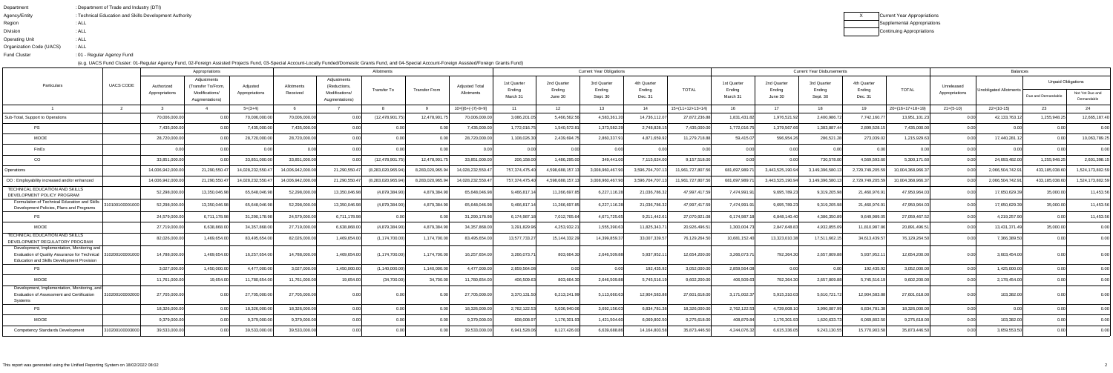| Department               | : Department of Trade and Industry (DTI)               |
|--------------------------|--------------------------------------------------------|
| Agency/Entity            | : Technical Education and Skills Development Authority |
| Region                   | : ALL                                                  |
| <b>Division</b>          | : ALL                                                  |
| <b>Operating Unit</b>    | : ALL                                                  |
| Organization Code (UACS) | : ALL                                                  |
| <b>Fund Cluster</b>      | :01 - Regular Agency Fund                              |
|                          |                                                        |

| Current Year Appropriations |
|-----------------------------|
| Supplemental Appropriations |
| Continuing Appropriations   |

|                                                                                                                                                   |                 |                              | Appropriations                                                        |                            | Allotments             |                                                                 |                    |                  |                              |                                   |                                  | <b>Current Year Obligations</b>   |                                  |                    | <b>Current Year Disbursements</b> |                                  |                                   |                                  |                    |                              | <b>Balances</b>        |                                                 |                               |  |
|---------------------------------------------------------------------------------------------------------------------------------------------------|-----------------|------------------------------|-----------------------------------------------------------------------|----------------------------|------------------------|-----------------------------------------------------------------|--------------------|------------------|------------------------------|-----------------------------------|----------------------------------|-----------------------------------|----------------------------------|--------------------|-----------------------------------|----------------------------------|-----------------------------------|----------------------------------|--------------------|------------------------------|------------------------|-------------------------------------------------|-------------------------------|--|
| Particulars                                                                                                                                       | UACS CODE       | Authorized<br>Appropriations | Adjustments<br>(Transfer To/From.<br>Modifications/<br>Augmentations) | Adjusted<br>Appropriations | Allotments<br>Received | Adjustments<br>(Reductions,<br>Modifications/<br>Augmentations) | Transfer To        | Transfer From    | Adjusted Total<br>Allotments | 1st Quarter<br>Ending<br>March 31 | 2nd Quarter<br>Ending<br>June 30 | 3rd Quarter<br>Ending<br>Sept. 30 | 4th Quarter<br>Ending<br>Dec. 31 | TOTAL              | 1st Quarter<br>Ending<br>March 31 | 2nd Quarter<br>Ending<br>June 30 | 3rd Quarter<br>Ending<br>Sept. 30 | 4th Quarter<br>Ending<br>Dec. 31 | TOTAL              | Unreleased<br>Appropriations | Unobligated Allotments | <b>Unpaid Obligations</b><br>Due and Demandable | Not Yet Due and<br>Demandable |  |
| $\overline{1}$                                                                                                                                    | $\overline{2}$  |                              |                                                                       | $5=(3+4)$                  |                        |                                                                 |                    |                  | $10=[(6+(-)7)-8+9]$          | 11                                | 12 <sup>12</sup>                 | - 13                              | 14                               | $15=(11+12+13+14)$ | 16                                | 17                               | 18                                | 19                               | $20=(16+17+18+19)$ | $21=(5-10)$                  | $22=(10-15)$           | - 23                                            | 24                            |  |
| Sub-Total, Support to Operations                                                                                                                  |                 | 70,006,000.0                 | 0.00                                                                  | 70,006,000.0               | 70,006,000.00          |                                                                 | (12,478,901.7      | 12.478.901.      | 70.006.000.0                 | 3,086,201.05                      | 5.466.562.56                     | 4,583,361.20                      | 14,736,112.07                    | 27,872,236.88      | 1,831,431.82                      | 1,976,521.92                     | 2,400,986.7                       | 7,742,160.                       | 13,951,101.23      | 0.00                         | 42,133,763.12          | 1,255,948.25                                    | 12,665,187.40                 |  |
| PS                                                                                                                                                |                 | 7,435,000.0                  | 0.00                                                                  | 7,435,000.0                | 7.435.000.00           |                                                                 | _റ.ററി             |                  | 7,435,000.0                  | 1,772,016.75                      | 1,540,572.81                     | 1,373,582.29                      | 2,748,828.15                     | 7.435.000.00       | 1,772,016.75                      | 1,379,567.66                     | 1.383.887.44                      | 2,899,528.1                      | 7.435.000.00       | 0.00                         | 0.00                   | 0.001                                           | 0.00                          |  |
| <b>MOOE</b>                                                                                                                                       |                 | 28,720,000.0                 |                                                                       | 28,720,000.0               | 28,720,000.00          |                                                                 |                    |                  | 28,720,000.0                 | 1.108.026.30                      | 2.439.694.75                     | 2.860.337.91                      | 4.871.659.92                     | 11,279,718.88      | 59.415.07                         | 596.954.26                       | 286.521.2                         | 273,039.02                       | 1,215,929.63       | 0.00L                        | 17,440,281.1           |                                                 | 10,063,789.25                 |  |
| FinEx                                                                                                                                             |                 | $\cap$ $\cap$                | 0.00                                                                  | 0 U                        | 0.00                   | 0.001                                                           | 0.00l              | 0.00             | 0.00                         | 0.00                              | 0.00                             | 0.00                              | 0.00                             | 0.00               | 0.00                              | 0.00                             | 0.00                              | n nr                             | 0.00               | 0.00                         | 0.00                   | 0.00                                            | 0.00                          |  |
| CO                                                                                                                                                |                 | 33,851,000.0                 | 0.00                                                                  | 33,851,000.0               | 33,851,000.00          |                                                                 | (12, 478, 901.75)  | 12,478,901.75    | 33,851,000.00                | 206,158.00                        | 1,486,295.00                     | 349,441.00                        | 7,115,624.00                     | 9,157,518.00       | 0.00 <sub>l</sub>                 | -0.00                            | 730,578.00                        | 4,569,593.60                     | 5,300,171.60       | n ool                        | 24,693,482.00          | 1,255,948.25                                    | 2,601,398.15                  |  |
| Operations                                                                                                                                        |                 | 14.006.942.000.0             | 21.290.550.47                                                         | 14.028.232.550.4           | 14.006.942.000.00      | 21.290.550.47                                                   | (8.283.020.965.94) | 8.283.020.965.94 | 14,028,232,550.47            | 757.374.475.40                    | 4.598.688.157.13                 | 3.008.960.467.90                  | 3.596.704.707.13                 | 11.961.727.807.56  | 681.697.989.71                    | 3.443.525.190.94                 | 3.149.396.580.1                   | 2,729,749,205.5                  | 10.004.368.966.3   | 0.00                         | 2.066.504.742.91       | 433.185.038.60                                  | 1.524.173.802.59              |  |
| OO: Employability increased and/or enhanced                                                                                                       |                 | 14,006,942,000.0             | 21,290,550.47                                                         | 14,028,232,550.4           | 14,006,942,000.0       | 21,290,550.4                                                    | (8,283,020,965.94) | 8.283.020.965.94 | 14,028,232,550.4             | 757,374,475.40                    | 4.598.688.157.1                  | 3.008.960.467.90                  | 3,596,704,707.1                  | 11,961,727,807.56  | 681.697.989.71                    | 3,443,525,190.94                 | 3.149.396.580.                    | 2,729,749,205.                   | 10.004.368.966.3   | 0.001                        | 2,066,504,742.9        | 433,185,038.60                                  | 1,524,173,802.59              |  |
| TECHNICAL EDUCATION AND SKILLS<br>DEVELOPMENT POLICY PROGRAM                                                                                      |                 | 52,298,000.0                 | 13,350,046.98                                                         | 65,648,046.9               | 52,298,000.00          | 13,350,046.9                                                    | (4,879,384.90)     | 4,879,384.90     | 65,648,046.98                | 9,466,817.14                      | 11,266,697.85                    | 6,227,116.28                      | 21,036,786.32                    | 47,997,417.59      | 7,474,991.91                      | 9,695,789.23                     | 9,319,205.9                       | 21,460,976.9                     | 47,950,964.03      | 0.00                         | 17,650,629.39          | 35,000.00                                       | 11,453.56                     |  |
| Formulation of Technical Education and Skills<br>Development Policies, Plans and Programs                                                         | 10100100001000  | 52,298,000.0                 | 13,350,046.98                                                         | 65,648,046.9               | 52,298,000.00          | 13,350,046.9                                                    | (4,879,384.90)     | 4,879,384.90     | 65,648,046.9                 | 9,466,817.1                       | 11,266,697.85                    | 6,227,116.28                      | 21,036,786.32                    | 47,997,417.59      | 7,474,991.91                      | 9,695,789.23                     | 9,319,205.9                       | 21,460,976.9                     | 47,950,964.03      | 0.00                         | 17,650,629.39          | 35,000.00                                       | 11,453.56                     |  |
| <b>PS</b>                                                                                                                                         |                 | 24,579,000.0                 | 6,711,178.98                                                          | 31,290,178.9               | 24,579,000.00          | 6,711,178.9                                                     | 0.00               |                  | 31,290,178.98                | 6.174.987.1                       | 7,012,765.64                     | 4,671,725.65                      | 9,211,442.61                     | 27,070,921.08      | 6,174,987.18                      | 6,848,140.40                     | 4.386.350.8                       | 9,649,989.0                      | 27,059,467.52      | 0.00                         | 4,219,257.90           | 0.00                                            | 11,453.56                     |  |
| <b>MOOE</b>                                                                                                                                       |                 | 27,719,000.0                 | 6,638,868.00                                                          | 34,357,868.0               | 27,719,000.00          | 6,638,868.0                                                     | (4,879,384.90)     | 4,879,384.90     | 34,357,868.00                | 3,291,829.96                      | 4,253,932.21                     | 1,555,390.63                      | 11,825,343.71                    | 20,926,496.51      | 1,300,004.73                      | 2,847,648.83                     | 4,932,855.0                       | 11,810,987.8                     | 20,891,496.51      | 0.00                         | 13,431,371.49          | 35,000.00                                       | 0.00                          |  |
| TECHNICAL EDUCATION AND SKILLS<br>DEVELOPMENT REGULATORY PROGRAM                                                                                  |                 | 82,026,000.0                 | 1,469,654.00                                                          | 83,495,654.0               | 82,026,000.00          | 1,469,654.00                                                    | (1, 174, 700.00)   | 1,174,700.00     | 83,495,654.00                | 13,577,733.27                     | 15, 144, 332. 29                 | 14,399,859.37                     | 33,007,339.57                    | 76,129,264.50      | 10,681,152.40                     | 13,323,010.38                    | 17,511,662.1                      | 34,613,439.5                     | 76,129,264.50      | 0.001                        | 7,366,389.50           |                                                 | 0.00                          |  |
| Development, Implementation, Monitoring and<br>Evaluation of Quality Assurance for Technical<br><b>Education and Skills Development Provision</b> | 10200100001000  | 14,788,000.0                 | 1,469,654.00                                                          | 16,257,654.0               | 14,788,000.00          | 1.469.654.0                                                     | (1, 174, 700.00)   | 1,174,700.00     | 16,257,654.0                 | 3.266.073.7                       | 803,664.30                       | 2.646.509.88                      | 5,937,952.1                      | 12,654,200.00      | 3,266,073.7                       | 792,364.30                       | 2,657,809.8                       | 5,937,952.                       | 12,654,200.00      | n nr                         | 3,603,454.00           |                                                 |                               |  |
| <b>PS</b>                                                                                                                                         |                 | 3,027,000.0                  | 1,450,000.00                                                          | 4,477,000.0                | 3,027,000.00           | 1,450,000.0                                                     | (1, 140, 000.00)   | 1,140,000.00     | 4,477,000.00                 | 2,859,564.08                      | 0.00                             | 0.00                              | 192,435.92                       | 3,052,000.00       | 2,859,564.08                      | 0.00                             | . വ                               | 192,435.92                       | 3,052,000.00       | 0.00                         | 1,425,000.00           | 0.00                                            | 0.00                          |  |
| <b>MOOE</b>                                                                                                                                       |                 | 11,761,000.0                 | 19,654.00                                                             | 11,780,654.0               | 11,761,000.00          | 19.654.0                                                        | (34,700.00)        | 34,700.00        | 11,780,654.0                 | 406.509.63                        | 803,664.30                       | 2.646.509.88                      | 5,745,516.19                     | 9,602,200.00       | 406,509.63                        | 792,364.30                       | 2,657,809.88                      | 5.745.516.1                      | 9,602,200.00       | 0.00                         | 2,178,454.00           |                                                 | 0.00                          |  |
| Development, Implementation, Monitoring, and<br>Evaluation of Assessment and Certification<br>Systems                                             | 310200100002000 | 27,705,000.0                 | 0.00L                                                                 | 27,705,000.0               | 27,705,000.00          |                                                                 |                    |                  | 27,705,000.0                 | 3,370,131.50                      | 6,213,241.99                     | 5,113,660.63                      | 12,904,583.88                    | 27,601,618.00      | 3,171,002.37                      | 5,915,310.03                     | 5,610,721.72                      | 12,904,583.8                     | 27,601,618.00      |                              | 103,382.00             |                                                 |                               |  |
| PS                                                                                                                                                |                 | 18.326.000.0                 | 0.00                                                                  | 18,326,000.0               | 18.326.000.00          | 0.001                                                           | 0.00               |                  | 18.326.000.0                 | 2,762,122.53                      | 5.036.940.06                     | 3,692,156.03                      | 6.834.781.38                     | 18.326.000.00      | 2,762,122.53                      | 4.739.008.10                     | 3.990.087.9                       | 6.834.781.38                     | 18.326.000.00      | 0.00                         |                        |                                                 | 0.00                          |  |
| <b>MOOE</b>                                                                                                                                       |                 | 9,379,000.0                  | 0.00                                                                  | 9,379,000.0                | 9,379,000.00           |                                                                 |                    | -0.00            | 9,379,000.0                  | 608,008.97                        | 1,176,301.93                     | 1,421,504.60                      | 6,069,802.50                     | 9,275,618.00       | 408,879.84                        | 1,176,301.93                     | 1,620,633.73                      | 6,069,802.50                     | 9,275,618.00       | 0.00                         | 103,382.00             |                                                 | 0.00                          |  |
| <b>Competency Standards Development</b>                                                                                                           | 310200100003000 | 39.533.000.                  |                                                                       | 39.533.000.0               | 39.533.000.00          |                                                                 |                    |                  | 39.533.000.0                 | 6.941.528.06                      | 8,127,426.00                     | 6.639.688.8                       | 14,164,803.58                    | 35,873,446.50      | 4,244,076.32                      | 6,615,336.05                     | 9,243,130.55                      | 15,770,903.5                     | 35,873,446.50      | 0.00                         | 3.659.553.50           |                                                 |                               |  |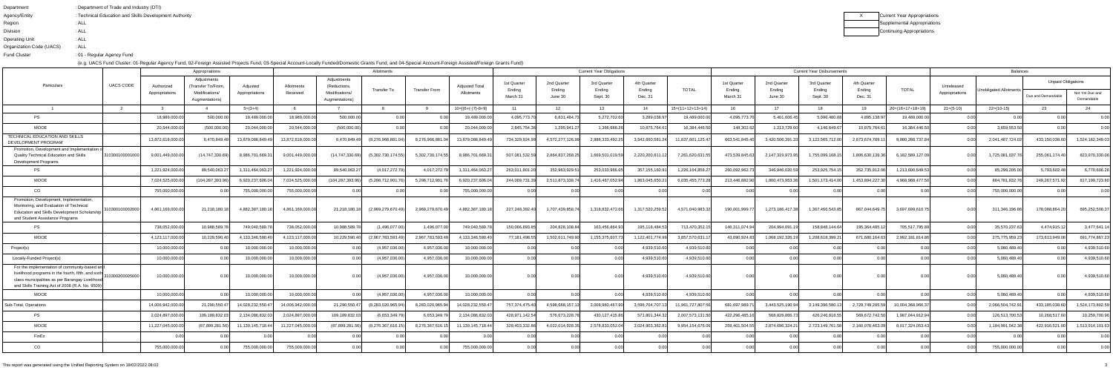| Department               | : Department of Trade and Industry (DTI)               |
|--------------------------|--------------------------------------------------------|
| Agency/Entity            | : Technical Education and Skills Development Authority |
| Region                   | : ALL                                                  |
| <b>Division</b>          | : ALL                                                  |
| <b>Operating Unit</b>    | : ALL                                                  |
| Organization Code (UACS) | : ALL                                                  |
| <b>Fund Cluster</b>      | :01 - Regular Agency Fund                              |
|                          |                                                        |

| Χ | Current Year Appropriations |
|---|-----------------------------|
|   | Supplemental Appropriations |
|   | Continuing Appropriations   |

|                                                                                                                                                                                                           |                  |                              | Appropriations                                                        |                            |                                     |                                                                 | <b>Current Year Obligations</b>  |                  |                                     |                                   |                                  |                                   |                                  |                    | <b>Current Year Disbursements</b> |                                  | <b>Balances</b>                   |                                  |                    |                              |                        |                                                 |                               |
|-----------------------------------------------------------------------------------------------------------------------------------------------------------------------------------------------------------|------------------|------------------------------|-----------------------------------------------------------------------|----------------------------|-------------------------------------|-----------------------------------------------------------------|----------------------------------|------------------|-------------------------------------|-----------------------------------|----------------------------------|-----------------------------------|----------------------------------|--------------------|-----------------------------------|----------------------------------|-----------------------------------|----------------------------------|--------------------|------------------------------|------------------------|-------------------------------------------------|-------------------------------|
| Particulars                                                                                                                                                                                               | <b>UACS CODE</b> | Authorized<br>Appropriations | Adjustments<br>(Transfer To/From.<br>Modifications/<br>Augmentations) | Adiusted<br>Appropriations | Allotments<br>Received              | Adjustments<br>(Reductions.<br>Modifications/<br>Augmentations) | <b>Transfer To</b>               | Transfer From    | <b>Adiusted Total</b><br>Allotments | 1st Quarter<br>Ending<br>March 31 | 2nd Quarter<br>Ending<br>June 30 | 3rd Quarter<br>Ending<br>Sept. 30 | 4th Quarter<br>Ending<br>Dec. 31 | TOTAL              | 1st Quarter<br>Ending<br>March 31 | 2nd Quarter<br>Ending<br>June 30 | 3rd Quarter<br>Ending<br>Sept. 30 | 4th Quarter<br>Ending<br>Dec. 31 | <b>TOTAL</b>       | Unreleased<br>Appropriations | Jnobligated Allotments | <b>Unpaid Obligations</b><br>Due and Demandable | Not Yet Due and<br>Demandable |
|                                                                                                                                                                                                           |                  |                              |                                                                       | $5=(3+4)$                  |                                     |                                                                 |                                  |                  | $10=[(6+(-7)-8+9)]$                 | 11                                | -12                              | 13                                | 14                               | $15=(11+12+13+14)$ |                                   | 17                               | 18                                | 19                               | $20=(16+17+18+19)$ | $21=(5-10)$                  | $22=(10-15)$           | -23                                             |                               |
| <b>PS</b>                                                                                                                                                                                                 |                  | 18,989,000.0                 | 500,000.0                                                             | 19,489,000.00              | 18,989,000.00                       | 500,000.00                                                      |                                  |                  | 19,489,000.0                        | 4,095,773.7                       | 6,831,484.7                      | 5,272,702.60                      | 3,289,038.97                     | 19,489,000.00      | 4,095,773.70                      | 5,401,606.45                     | 5,096,480.8                       | 4,895,138.9                      | 19,489,000.00      |                              |                        |                                                 | 0.00                          |
| <b>MOOE</b>                                                                                                                                                                                               |                  | 20,544,000.0                 | (500,000.00)                                                          | 20,044,000.00              | 20,544,000.00                       | (500,000.00)                                                    | 0.00                             |                  | 20,044,000.00                       | 2,845,754.36                      | 1,295,941.2                      | 1,366,986.26                      | 10,875,764.61                    | 16,384,446.50      | 148,302.62                        | 1,213,729.60                     | 4,146,649.6                       | 10,875,764.6                     | 16.384.446.50      | 0.00                         | 3,659,553.50           |                                                 |                               |
| TECHNICAL EDUCATION AND SKILLS<br><b>DEVELOPMENT PROGRAM</b>                                                                                                                                              |                  | 13,872,618,000.0             | 6,470,849.49                                                          | 13,879,088,849.49          | 13,872,618,000.00                   | 6,470,849.49                                                    | (8,276,966,881.04)               | 8,276,966,881    | 13,879,088,849.49                   | 734,329,924.99                    | 4,572,277,126.99                 | 2,988,333,492.25                  | 3,542,660,581.24                 | 11,837,601,125.47  | 663,541,845.40                    | 3,420,506,391.3                  | 3,122,565,712.                    | 2,673,674,789.1                  | 9,880,288,737.84   |                              | 2,041,487,724.02       | 433,150,038.60                                  | 1,524,162,349.03              |
| Promotion, Development and Implementation o<br>Quality Technical Education and Skills<br>Development Programs                                                                                             | 310300100001000  | 9,001,449,000.0              | (14,747,330.69                                                        | 8,986,701,669.3            | 9,001,449,000.00                    | (14, 747, 330.69)                                               | (5,302,730,174.55)               | 5,302,730,174.55 | 8,986,701,669.3                     | 507,081,532.5                     | 2,864,837,268.2                  | 1,669,501,019.59                  | 2,220,200,811                    | 7,261,620,631.55   | 473,539,845.63                    | 2,147,319,973.95                 | 1,755,099,168.1                   | 1.806.630.139.36                 | 6,182,589,127.09   | 0.001                        | 1,725,081,037.76       | 255,061,174.40                                  | 823,970,330.06                |
| PS                                                                                                                                                                                                        |                  | 1,221,924,000.0              | 89,540,063.2                                                          | 1,311,464,063.2            | 1,221,924,000.00                    | 89,540,063.2                                                    | (4,017,272.79)                   | 4.017.272.7      | 1,311,464,063.2                     | 263,011,801.2                     | 352,963,929.5                    | 253,033,966.6                     | 357, 155, 160.91                 | 1,226,164,858.2    | 260,092,962.73                    | 346,846,020.59                   | 253,925,754.1                     | 352,735,912.06                   | 1,213,600,649.5    | 0.00                         | 85,299,205.00          | 5,793,602.48                                    | 6,770,606.26                  |
| MOOE                                                                                                                                                                                                      |                  | 7,024,525,000.0              | (104,287,393.96)                                                      | 6,920,237,606.0            | 7,024,525,000.00                    | (104, 287, 393.96)                                              | (5,298,712,901.76)               | 5,298,712,901.   | 6,920,237,606.04                    | 244,069,731.39                    | 2,511,873,338.7                  | 1,416,467,052.94                  | 1,863,045,650.2                  | 6,035,455,773.2    | 213,446,882.90                    | 1,800,473,953.36                 | 1,501,173,414.0                   | 1,453,894,227.3                  | 4.968.988.477.5    |                              | 884,781,832.76         | 249,267,571.92                                  | 817,199,723.80                |
| CO                                                                                                                                                                                                        |                  | 755,000,000.0                | $\cap$ $\cap$                                                         | 755,000,000.00             | 755,000,000.00                      |                                                                 | 0.00                             |                  | 755,000,000.00                      | 0.00                              | 0.00                             |                                   | 0.00                             |                    | n nn                              |                                  | $\cap$ $\cap$                     |                                  |                    | n ool                        | 755,000,000.00         |                                                 | 0.00                          |
| Promotion, Development, Implementation,<br>Monitoring, and Evaluation of Technical<br><b>Education and Skills Development Scholarship</b><br>and Student Assistance Programs                              | 310300100002000  | 4,861,169,000.00             | 21,218,180.18                                                         | 4,882,387,180.1            | 4,861,169,000.00                    | 21,218,180.18                                                   | (2,969,279,670.49)               | 2,969,279,670.49 | 4,882,387,180.18                    | 227,248,392.40                    | 1,707,439,858.74                 | 1,318,832,472.66                  | 1,317,520,259.52                 | 4,571,040,983.32   | 190,001,999.77                    | 1,273,186,417.38                 | 1.367.466.543.85                  | 867,044,649.75                   | 3,697,699,610.7    |                              | 311,346,196.86         | 178,088,864.20                                  | 695,252,508.37                |
| <b>PS</b>                                                                                                                                                                                                 |                  | 738,052,000.0                | 10.988.589.                                                           | 749,040,589.7              | 738,052,000.00                      | 10,988,589.7                                                    | (1.496.077.00                    | 1.496.077.0      | 749.040.589.7                       | 150.066.893.8                     | 204,828,108.84                   | 163,456,864.93                    | 195,118,484.53                   | 713,470,352.       | 146,311,074.94                    | 204,994,091.                     | 158.848.144.6                     | 195,364,485.1                    | 705,517,795.89     | 0.00l                        | 35,570,237.63          | 4,474,915.12                                    | 3,477,641.14                  |
| <b>MOOE</b>                                                                                                                                                                                               |                  | 4,123,117,000.0              | 10,229,590.40                                                         | 4,133,346,590.4            | 4,123,117,000.00                    | 10,229,590.40                                                   | (2,967,783,593.49                | 2,967,783,593.   | 4,133,346,590.40                    | 77,181,498.55                     | 1,502,611,749.90                 | 1,155,375,607.7                   | 1,122,401,774.99                 | 3,857,570,631.     | 43,690,924.83                     | 1,068,192,326.1                  | 1,208,618,399.                    | 671,680,164.6                    | 2,992,181,814.86   |                              | 275,775,959.23         | 173,613,949.08                                  | 691,774,867.23                |
| Project(s)                                                                                                                                                                                                |                  | 10,000,000.0                 | _0.00                                                                 | 10,000,000.00              | 10.000.000.00                       | 0.00                                                            | (4,957,036.00)                   | 4,957,036.00     | 10,000,000.00                       | 0.00                              | $\cap$ $\cap$                    |                                   | 4,939,510.60                     | 4,939,510.60       | 0.00 <sub>l</sub>                 |                                  | 0 <sup>0</sup>                    |                                  |                    | 0.00                         | 5.060.489.40           | 0.001                                           | 4,939,510.60                  |
| Locally-Funded Project(s)                                                                                                                                                                                 |                  | 10,000,000.0                 |                                                                       | 10,000,000.00              | 10,000,000.00                       |                                                                 | (4,957,036.00)                   | 4,957,036.0      | 10,000,000.00                       |                                   |                                  |                                   | 4,939,510.60                     | 4,939,510.60       | 0.00                              |                                  |                                   |                                  |                    |                              | 5,060,489.40           |                                                 | 4,939,510.60                  |
| For the implementation of community-based and<br>livelihood programs in the fourth, fifth, and sixth<br>class municipalities as per Barangay Livelihoo<br>and Skills Training Act of 2008 (R.A. No. 9509) | 10300200005000   | 10.000.000.00                |                                                                       | 10,000,000.00              | 10.000.000.00                       | 0.001                                                           | (4,957,036.00)                   | 4,957,036.0      | 10,000,000.00                       | 0.00                              |                                  |                                   | 4,939,510.60                     | 4,939,510.60       | 0.00L                             |                                  |                                   |                                  |                    |                              | 5,060,489.40           |                                                 | 4,939,510.60                  |
| <b>MOOE</b>                                                                                                                                                                                               |                  | 10,000,000.0                 |                                                                       | 10,000,000.00              | 10,000,000.00                       |                                                                 | (4,957,036.00)                   | 4,957,036.0      | 10,000,000.00                       |                                   |                                  |                                   | 4,939,510.60                     | 4,939,510.60       |                                   |                                  |                                   |                                  |                    |                              | 5,060,489.40           |                                                 | 4,939,510.60                  |
| Sub-Total, Operations                                                                                                                                                                                     |                  | 14,006,942,000.00            | 21,290,550.47                                                         |                            | 14,028,232,550.47 14,006,942,000.00 |                                                                 | 21,290,550.47 (8,283,020,965.94) |                  | 8,283,020,965.94 14,028,232,550.47  | 757,374,475.40                    | 4,598,688,157.13                 | 3,008,960,467.90                  |                                  |                    | 681,697,989.71                    | 3,443,525,190.94                 | 3,149,396,580.13                  | 2,729,749,205.59                 | 10,004,368,966.37  | 0.00                         | 2,066,504,742.91       | 433,185,038.60                                  | 1,524,173,802.59              |
| PS                                                                                                                                                                                                        |                  | 2,024,897,000.00             | 109.189.832.03                                                        | 2,134,086,832.03           | 2,024,897,000.00                    | 109,189,832.03                                                  | (6,653,349.79)                   | 6,653,349.79     | 2,134,086,832.03                    | 428,971,142.54                    | 576,673,228.78                   | 430,127,415.86                    | 571,801,344.32                   | 2,007,573,131.50   | 422,296,485.16                    | 568,828,866.73                   | 426,246,818.55                    | 569,672,742.50                   | 1,987,044,912.94   | 0.001                        | 126,513,700.53         | 10,268,517.60                                   | 10,259,700.96                 |
| <b>MOOE</b>                                                                                                                                                                                               |                  | 11,227,045,000.00            | (87,899,281.56)                                                       | 11,139,145,718.44          | 11,227,045,000.00                   | (87,899,281.56)                                                 | (8,276,367,616.15)               | 8,276,367,616.15 | 11,139,145,718.44                   | 328,403,332.86                    | 4,022,014,928.35                 | 2,578,833,052.04                  | 3,024,903,362.81                 | 9,954,154,676.06   | 259,401,504.55                    | 2,874,696,324.21                 | 2,723,149,761.58                  | 2,160,076,463.09                 | 8,017,324,053.43   | 0.001                        | 1,184,991,042.38       | 422,916,521.00                                  | 1,513,914,101.63              |
| FinEx                                                                                                                                                                                                     |                  |                              | 0.00                                                                  | 0.00                       | 0.00                                | 0.001                                                           | 0.00                             | 0.00             | 0.00                                | 0.00                              | 0.00                             | 0.00                              | 0.00                             | 0.00               | 0.00                              | 0.00                             | 0.00                              | 0.001                            | 0.00               | 0.00                         | 0.00                   | 0.00                                            | 0.00                          |
| CO                                                                                                                                                                                                        |                  | 755,000,000.0                |                                                                       | 755,000,000.00             | 755,000,000.00                      | 0.00                                                            | 0.00                             |                  | 755,000,000.00                      | 0.00                              | 0.00                             | 0.00                              | 0.00                             | 0.00               | 0.00                              | 0.00                             | 0.00                              | 0.00                             | 0.00               | 0.00                         | 755,000,000.00         | 0.00                                            | 0.00                          |
|                                                                                                                                                                                                           |                  |                              |                                                                       |                            |                                     |                                                                 |                                  |                  |                                     |                                   |                                  |                                   |                                  |                    |                                   |                                  |                                   |                                  |                    |                              |                        |                                                 |                               |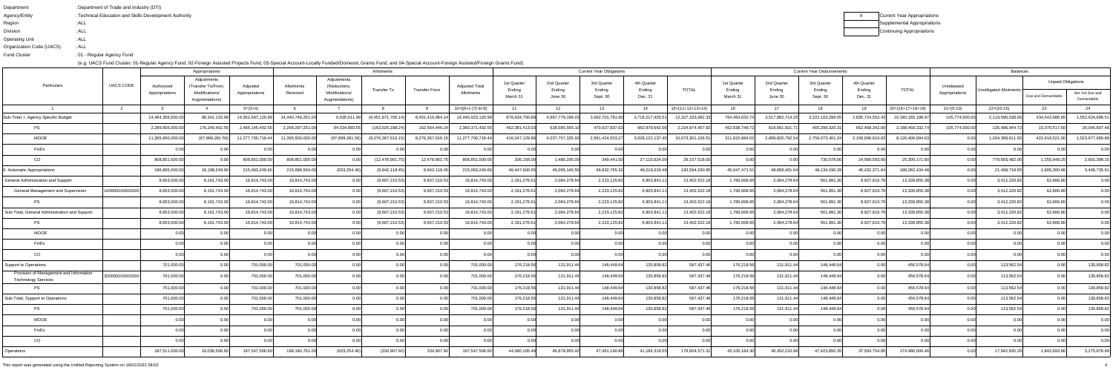| Department               | : Department of Trade and Industry (DTI)               |
|--------------------------|--------------------------------------------------------|
| Agency/Entity            | : Technical Education and Skills Development Authority |
| Region                   | : ALL                                                  |
| <b>Division</b>          | : ALL                                                  |
| <b>Operating Unit</b>    | : ALL                                                  |
| Organization Code (UACS) | : ALL                                                  |
| <b>Fund Cluster</b>      | :01 - Regular Agency Fund                              |
|                          |                                                        |

| x | Current Year Appropriations |
|---|-----------------------------|
|   | Supplemental Appropriations |
|   | Continuing Appropriations   |

|                                                                       |                  |                              | Appropriations                                                       |                            |                        |                                                                | <b>Current Year Obligations</b><br>Allotments |                      |                                     |                                   |                                  |                                   |                                  |                    | <b>Current Year Disbursements</b><br>Balances |                                  |                                   |                                  |                   |                              |                               |                                                 |                               |  |
|-----------------------------------------------------------------------|------------------|------------------------------|----------------------------------------------------------------------|----------------------------|------------------------|----------------------------------------------------------------|-----------------------------------------------|----------------------|-------------------------------------|-----------------------------------|----------------------------------|-----------------------------------|----------------------------------|--------------------|-----------------------------------------------|----------------------------------|-----------------------------------|----------------------------------|-------------------|------------------------------|-------------------------------|-------------------------------------------------|-------------------------------|--|
| Particulars                                                           | <b>UACS CODE</b> | Authorized<br>Appropriations | Adjustments<br>(Transfer To/From<br>Modifications/<br>Augmentations) | Adjusted<br>Appropriations | Allotments<br>Received | Adjustments<br>(Reductions<br>Modifications/<br>Augmentations) | Transfer To                                   | <b>Transfer From</b> | <b>Adjusted Total</b><br>Allotments | 1st Quarter<br>Ending<br>March 31 | 2nd Quarter<br>Ending<br>June 30 | 3rd Quarter<br>Ending<br>Sept. 30 | 4th Quarter<br>Ending<br>Dec. 31 | TOTAL              | 1st Quarter<br>Ending<br>March 31             | 2nd Quarter<br>Ending<br>June 30 | 3rd Quarter<br>Ending<br>Sept. 30 | 4th Quarter<br>Ending<br>Dec. 31 | <b>TOTAL</b>      | Unreleased<br>Appropriations | <b>Unobligated Allotments</b> | <b>Unpaid Obligations</b><br>Due and Demandable | Not Yet Due and<br>Demandable |  |
|                                                                       |                  |                              |                                                                      | $5=(3+4)$                  |                        |                                                                |                                               |                      | $10=[{6+(-)}7-8+9]$                 | 11                                | 12 <sup>12</sup>                 | -13                               | 14                               | $15=(11+12+13+14)$ |                                               | 17                               | 18                                | 19                               | $20=(16+17+18+19$ | $21=(5-10)$                  | $22=(10-15)$                  | 23                                              |                               |  |
| Sub-Total, I. Agency Specific Budget                                  |                  | 14,464,356,000.0             | 88,341,120.99                                                        | 14,552,697,120             | 14,440,748,251.0       | 6,635,611.9                                                    | (8,451,871,706.1                              | 8,451,410,964.       | 14,446,923,120.9                    | 878,634,700.89                    | 4,667,779,196.0                  | 3,062,701,781.90                  | 3,718,217,403.5                  | 12,327,333,082.33  | 764,454,632.                                  | 3,517,882,714.25                 | 3,222,103,299.                    | 2,835,724,552.4                  | 10,340,165,198.9  | 105,774,000.00               | 2,119,590,038.66              | 434,542,986.85                                  | ,552,624,896.51               |  |
| <b>PS</b>                                                             |                  | 2,289,905,000.0              | 176,240,402.55                                                       | 2,466,145,402.5            | 2,266,297,251.00       | 94,534,893.5                                                   | (163, 025, 188.24)                            | 162,564,446.24       | 2,360,371,402.5                     | 462,381,413.03                    | 628,585,565.1                    | 470,927,837.63                    | 662,979,642.06                   | 2,224,874,457.82   | 452,638,748.72                                | 618,061,921.7                    | 465,299,320.3                     | 652,458,342.0                    | 2,188,458,332.    | 105,774,000.00               | 135,496,944.7                 | 10,370,517.60                                   | 26,045,607.48                 |  |
| <b>MOOE</b>                                                           |                  | 11,365,600,000.0             | (87,899,281.56)                                                      | 11,277,700,718.44          | 11,365,600,000.00      | (87,899,281.56)                                                | (8,276,367,616.15)                            | 8,276,367,616.15     | 11,277,700,718.44                   | 416,047,129.86                    | 4,037,707,335.93                 | 2,591,424,503.2                   | 3,028,122,137.45                 | 10,073,301,106.51  | 311,815,884.02                                | 2,899,820,792.54                 | 2,756,073,401.2                   | 2,158,696,616.83                 | 8,126,406,694.63  | 0.OO                         | 1,204,399,611.93              | 422,916,521.00                                  | ,523,977,890.88               |  |
| FinEx                                                                 |                  | 0.00                         |                                                                      |                            |                        |                                                                |                                               |                      |                                     | 0.O                               | 0.00                             |                                   | 0.00                             |                    |                                               |                                  |                                   |                                  |                   | 0.00                         |                               |                                                 | 0.00                          |  |
| CO                                                                    |                  | 808,851,000.0                | 0.00                                                                 | 808,851,000.0              | 808,851,000.00         |                                                                | (12, 478, 901.7                               | 12,478,901.7         | 808,851,000.0                       | 206,158.00                        | 1,486,295.00                     | 349,441.00                        | 27,115,624.00                    | 29,157,518.00      | 0.00                                          | 0.00                             | 730,578.0                         | 24,569,593.6                     | 25,300,171.60     | 0.00                         | 779,693,482.00                | 1,255,948.25                                    | 2,601,398.15                  |  |
| Automatic Appropriations                                              |                  | 196,865,000.0                | 18,198,249.60                                                        | 215,063,249.6              | 215,696,504.00         | (633, 254.40)                                                  | (9,942,118.45)                                | 9,942,118.45         | 215,063,249.6                       | 46.447.600.6                      | 49,095,145.50                    | 49,832,765.32                     | 48,219,019.48                    | 193,594,530.95     | 45,047,471.51                                 | 48,668,401.0                     | 48,134,190.2                      | 46,432,371.                      | 188,282,434.48    | 0.001                        | 21,468,718.65                 | 1,905,360.66                                    | 3,406,735.81                  |  |
| General Administration and Support                                    |                  | 8,653,000.0                  | 8,161,743.00                                                         | 16,814,743.0               | 16,814,743.00          |                                                                | (9,607,210.53)                                | 9,607,210.53         | 16,814,743.00                       | 2,191,276.61                      | 2,084,278.64                     | 2,223,125.82                      | 6,903,841.                       | 13,402,522.        | 1,766,068.65                                  | 2,084,278.64                     | 561,891.                          | 8,927,616.7                      | 13,339,855.38     | 0.00 <sub>l</sub>            | 3,412,220.82                  | 62,666.80                                       | 0.00                          |  |
| <b>General Management and Supervision</b>                             | 100000100001000  | 8,653,000.0                  | 8,161,743.00                                                         | 16,814,743.0               | 16,814,743.00          |                                                                | (9,607,210.53)                                | 9,607,210.53         | 16,814,743.00                       | 2,191,276.61                      | 2,084,278.64                     | 2,223,125.82                      | 6,903,841.1                      | 13,402,522.18      | 1,766,068.65                                  | 2,084,278.64                     | 561,891.3                         | 8,927,616.7                      | 13,339,855.3      | 0.00                         | 3,412,220.82                  | 62,666.80                                       | 0.00                          |  |
| <b>PS</b>                                                             |                  | 8,653,000.0                  | 8,161,743.00                                                         | 16,814,743.0               | 16,814,743.00          |                                                                | (9,607,210.53)                                | 9,607,210.53         | 16,814,743.0                        | 2,191,276.61                      | 2,084,278.64                     | 2,223,125.82                      | 6,903,841.1                      | 13,402,522.1       | 1,766,068.65                                  | 2,084,278.64                     | 561,891.                          | 8,927,616.7                      | 13,339,855.38     | 0.001                        | 3,412,220.82                  | 62,666.80                                       | 0.00                          |  |
| Sub-Total, General Administration and Support                         |                  | 8,653,000.0                  | 8,161,743.00                                                         | 16,814,743.0               | 16,814,743.00          |                                                                | (9,607,210.5                                  | 9,607,210.53         | 16,814,743.0                        | 2,191,276.61                      | 2,084,278.64                     | 2,223,125.82                      | 6,903,841.                       | 13,402,522.        | 1,766,068.65                                  | 2,084,278.64                     | 561,891.                          | 8,927,616.7                      | 13,339,855.3      | 0.00 <sub>l</sub>            | 3,412,220.82                  | 62,666.80                                       | 0.00                          |  |
| <b>PS</b>                                                             |                  | 8,653,000.0                  | 8,161,743.00                                                         | 16,814,743.0               | 16,814,743.00          |                                                                | (9,607,210.53)                                | 9,607,210.53         | 16,814,743.00                       | 2,191,276.61                      | 2,084,278.64                     | 2,223,125.82                      | 6,903,841.1                      | 13,402,522.18      | 1,766,068.65                                  | 2,084,278.64                     | 561,891.3                         | 8,927,616.7                      | 13,339,855.3      | 0.00                         | 3,412,220.82                  | 62,666.80                                       | 0.00                          |  |
| <b>MOOE</b>                                                           |                  | 0.00                         | 0.00                                                                 | n nr                       | 0.00                   | n nr                                                           |                                               | 0.00                 | 0.00                                | 0.00                              | 0.00                             | 0.00                              | 0.00                             | 0.00               | 0.00                                          | 0.00                             | 0.00                              | 0.001                            | 0.00              | 0.00                         | 0.00                          | n nn                                            | 0.00                          |  |
| FinEx                                                                 |                  |                              |                                                                      |                            |                        |                                                                |                                               |                      |                                     |                                   | 0.00                             |                                   |                                  |                    |                                               |                                  | 0.00                              |                                  |                   |                              |                               |                                                 | 0.00                          |  |
| CO                                                                    |                  |                              | 0.00                                                                 |                            | 0.00                   |                                                                | 0.00                                          | 0.00                 | 0.0(                                | 0.00                              | 0.00                             |                                   | 0.00                             |                    | 0.00                                          |                                  |                                   |                                  |                   | 0.001                        | 0.00                          |                                                 | 0.00                          |  |
| <b>Support to Operations</b>                                          |                  | 701,000.00                   | 0.00                                                                 | 701,000.0                  | 701,000.00             |                                                                |                                               |                      | 701,000.0                           | 176,218.56                        | 131,911.44                       | 148,448.64                        | 130,858.82                       | 587,437.46         | 176,218.56                                    | 131,911.44                       | 148,448.6                         |                                  | 456,578.64        | 0.00                         | 113,562.54                    | 0.00                                            | 130,858.82                    |  |
| Provision of Management and Information<br><b>Technology Services</b> | 200000100001000  | 701,000.00                   | 0.00                                                                 | 701,000.0                  | 701,000.00             |                                                                | 0.00                                          | 0.00                 | 701,000.0                           | 176,218.56                        | 131,911.44                       | 148,448.6                         | 130,858.82                       | 587,437.46         | 176,218.56                                    | 131,911.44                       | 148,448.64                        |                                  | 456,578.64        | 0.00 <sub>l</sub>            | 113,562.54                    | 0.00                                            | 130,858.82                    |  |
| <b>PS</b>                                                             |                  | 701,000.00                   |                                                                      | 701,000.0                  | 701,000.00             |                                                                |                                               |                      | 701,000.0                           | 176,218.56                        | 131,911.44                       | 148,448.6                         | 130,858.82                       | 587,437.46         | 176,218.56                                    | 131,911.44                       | 148,448.64                        |                                  | 456,578.64        | 0.00                         | 113,562.5                     | 0.00                                            | 130,858.82                    |  |
| Sub-Total, Support to Operations                                      |                  | 701,000.00                   |                                                                      | 701,000.0                  | 701,000.00             |                                                                |                                               |                      | 701,000.0                           | 176,218.56                        | 131,911.44                       | 148,448.6                         | 130,858.82                       | 587,437.46         | 176,218.56                                    | 131,911.44                       | 148,448.6                         |                                  | 456,578.64        | 0.00 <sub>l</sub>            | 113,562.54                    | 0.OO                                            | 130,858.82                    |  |
| <b>PS</b>                                                             |                  | 701,000.00                   |                                                                      | 701,000.00                 | 701,000.00             |                                                                |                                               |                      | 701,000.00                          | 176,218.56                        | 131,911.44                       | 148,448.64                        | 130,858.82                       | 587,437.46         | 176,218.56                                    | 131,911.44                       | 148,448.64                        |                                  | 456,578.64        | 0.001                        | 113,562.54                    |                                                 | 130,858.82                    |  |
| <b>MOOE</b>                                                           |                  |                              | 0.00 <sub>l</sub>                                                    |                            |                        |                                                                |                                               |                      |                                     |                                   | 0.00                             |                                   |                                  |                    |                                               |                                  |                                   |                                  |                   |                              |                               |                                                 | 0.00                          |  |
| FinEx                                                                 |                  | 0.00                         | 0.00                                                                 |                            | 0.00                   |                                                                | 0.00                                          | 0.00                 |                                     | 0.00                              | 0.00                             |                                   | 0.00                             |                    |                                               |                                  |                                   |                                  | 0.00              | 0.00                         | 0.00                          |                                                 | 0.00                          |  |
| CO                                                                    |                  |                              |                                                                      |                            |                        |                                                                |                                               |                      |                                     |                                   | 0.00                             |                                   |                                  |                    |                                               |                                  |                                   |                                  |                   | 0.00                         |                               |                                                 | 0.00                          |  |
| Operations                                                            |                  | 187,511,000.0                | 10,036,506.60                                                        | 197,547,506.6              | 198,180,761.00         | (633,254.40                                                    | (334, 907.92)                                 | 334,907.92           | 197,547,506.60                      | 44,080,105.48                     | 46,878,955.42                    | 47,461,190.86                     | 41,184,319.55                    | 179,604,571.3      | 43,105,184.30                                 | 46,452,210.96                    | 47,423,850.3                      | 37,504,754.85                    | 174,486,000.46    | 0.00 <sub>l</sub>            | 17,942,935.29                 | 1,842,693.86                                    | 3,275,876.99                  |  |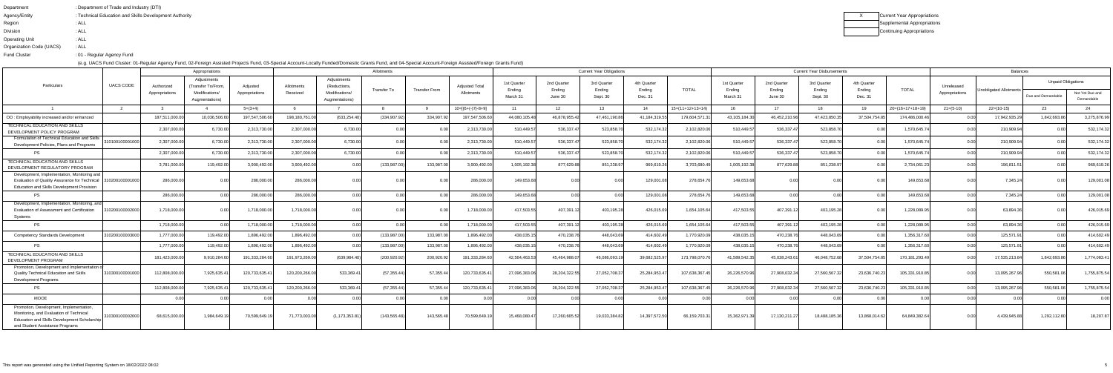| : Department of Trade and Industry (DTI)               |
|--------------------------------------------------------|
| : Technical Education and Skills Development Authority |
| : ALL                                                  |
| : ALL                                                  |
| : ALL                                                  |
| : ALL                                                  |
| :01 - Regular Agency Fund                              |
|                                                        |

| Current Year Appropriations |
|-----------------------------|
| Supplemental Appropriations |
| Continuing Appropriations   |

|                                                                                                                                                                       |                  | Allotments<br>Appropriations |                                  |                |                |                                  |                    |                                               |                     |                                                                         |                 | <b>Current Year Obligations</b> |                       |                    |                       |                       | <b>Current Year Disbursements</b> | <b>Balances</b>       |                    |                   |                        |                           |                               |
|-----------------------------------------------------------------------------------------------------------------------------------------------------------------------|------------------|------------------------------|----------------------------------|----------------|----------------|----------------------------------|--------------------|-----------------------------------------------|---------------------|-------------------------------------------------------------------------|-----------------|---------------------------------|-----------------------|--------------------|-----------------------|-----------------------|-----------------------------------|-----------------------|--------------------|-------------------|------------------------|---------------------------|-------------------------------|
| Particulars                                                                                                                                                           | <b>UACS CODE</b> | Authorized                   | Adjustments<br>Transfer To/From, | Adjusted       | Allotments     | Adjustments<br>(Reductions,      | <b>Transfer To</b> | <b>Adjusted Total</b><br><b>Transfer From</b> |                     | 3rd Quarter<br>1st Quarter<br>2nd Quarter<br>Ending<br>Ending<br>Ending |                 |                                 | 4th Quarter<br>Ending | <b>TOTAL</b>       | 1st Quarter<br>Ending | 2nd Quarter<br>Ending | 3rd Quarter<br>Ending             | 4th Quarter<br>Ending | <b>TOTAL</b>       | Unreleased        | Unobligated Allotments | <b>Unpaid Obligations</b> |                               |
|                                                                                                                                                                       |                  | Appropriations               | Modifications/<br>Augmentations) | Appropriations | Received       | Modifications/<br>Augmentations) |                    |                                               | Allotments          | March 31                                                                | June 30         | Sept. 30                        | Dec. 31               |                    | March 31              | June 30               | Sept. 30                          | Dec. 31               |                    | Appropriations    |                        | Due and Demandable        | Not Yet Due and<br>Demandable |
|                                                                                                                                                                       |                  |                              |                                  | $5=(3+4)$      |                |                                  |                    |                                               | $10=[{6+(-)}7-8+9]$ | 11                                                                      | 12 <sup>7</sup> | 13                              | 14                    | $15=(11+12+13+14)$ | 16.                   | 17                    | 18                                | 19                    | $20=(16+17+18+19)$ | $21=(5-10)$       | $22=(10-15)$           | 23                        | 24                            |
| OO: Employability increased and/or enhanced                                                                                                                           |                  | 187,511,000.00               | 10.036.506.6                     | 197,547,506.6  | 198,180,761.00 | (633, 254.40)                    | (334.907.92)       | 334.907.9                                     | 197,547,506.60      | 44.080.105.48                                                           | 46,878,955.42   | 47,461,190.86                   | 41,184,319.55         | 179,604,571.3      | 43,105,184.30         | 46,452,210.96         | 47,423,850.3                      | 37,504,754.8          | 174,486,000.4      | 0.00              | 17,942,935.29          | 1,842,693.86              | 3,275,876.99                  |
| TECHNICAL EDUCATION AND SKILLS<br>DEVELOPMENT POLICY PROGRAM                                                                                                          |                  | 2.307.000.00                 | 6.730.0                          | 2,313,730.00   | 2,307,000.00   | 6,730.00                         | 0.00               | 0.00                                          | 2,313,730.00        | 510.449.57                                                              | 536,337.47      | 523,858.70                      | 532,174.32            | 2,102,820.06       | 510,449.57            | 536,337.47            | 523.858.7                         |                       | 1,570,645.7        | _റ.ററി            | 210,909.94             | 0.00                      | 532,174.32                    |
| Formulation of Technical Education and Skills<br>Development Policies, Plans and Programs                                                                             | 1010010000100    | 2,307,000.00                 | 6,730.0                          | 2,313,730.00   | 2,307,000.00   | 6,730.00                         | 0.00               |                                               | 2,313,730.00        | 510,449.57                                                              | 536,337.4       | 523,858.70                      | 532,174.32            | 2,102,820.0        | 510,449.57            | 536.337.4             | 523.858.7                         |                       | 1,570,645.7        | 0.00              | 210,909.94             | 0.00                      | 532,174.32                    |
| <b>PS</b>                                                                                                                                                             |                  | 2,307,000.00                 | 6,730.0                          | 2,313,730.00   | 2,307,000.00   | 6,730.00                         | 0.00               |                                               | 2,313,730.00        | 510,449.57                                                              | 536,337.47      | 523,858.70                      | 532,174.32            | 2,102,820.0        | 510,449.57            | 536,337.47            | 523.858.7                         | n nn                  | 1,570,645.7        | 0.00              | 210,909.94             | 0.00                      | 532,174.32                    |
| TECHNICAL EDUCATION AND SKILLS<br>DEVELOPMENT REGULATORY PROGRAM                                                                                                      |                  | 3,781,000.00                 | 119,492.0                        | 3,900,492.00   | 3,900,492.00   | 0.00l                            | (133,987.00)       | 133,987.0                                     | 3,900,492.00        | 1,005,192.38                                                            | 877,629.88      | 851,238.97                      | 969,619.26            | 3,703,680.4        | 1,005,192.38          | 877,629.88            | 851,238.9                         |                       | 2,734,061.23       | n nnl             | 196,811.5              | 0.00                      | 969,619.26                    |
| Development, Implementation, Monitoring and<br>Evaluation of Quality Assurance for Technical<br><b>Education and Skills Development Provision</b>                     | 31020010000100   | 286,000.00                   |                                  | 286,000.00     | 286,000.00     |                                  |                    |                                               | 286.000.00          | 149.653.68                                                              | 0 <sub>0</sub>  |                                 | 129,001.08            | 278,654.           | 149.653.68            |                       |                                   |                       | 149,653.6          |                   | 7,345.24               |                           | 129,001.08                    |
| <b>PS</b>                                                                                                                                                             |                  | 286,000.00                   | 0 O                              | 286,000.00     | 286,000.00     | 0.00                             | 0.00               |                                               | 286.000.00          | 149.653.68                                                              | 0.00            | 0.00                            | 129,001.08            | 278,654.7          | 149.653.68            | 0.00 <sup>1</sup>     | 0.00                              |                       | 149,653.6          | 0.00              | 7,345.24               | 0.00                      | 129,001.08                    |
| Development, Implementation, Monitoring, and<br>Evaluation of Assessment and Certification<br>Systems                                                                 | 10200100002000   | 1.718.000.00                 |                                  | 1.718.000.00   | 1,718,000.00   | 0 U U                            | 0.00               |                                               | 1.718.000.00        | 417.503.55                                                              | 407,391.1       | 403,195.28                      | 426,015.69            | 1,654,105.64       | 417,503.55            | 407,391.12            | 403,195.28                        |                       | 1,228,089.95       | n nnl             | 63,894.36              | ი იი                      | 426,015.69                    |
| PS                                                                                                                                                                    |                  | 1,718,000.00                 | 0 <sub>0</sub>                   | 1,718,000.00   | 1,718,000.00   | 0.00                             | 0.00               |                                               | 1,718,000.00        | 417,503.55                                                              | 407,391.1       | 403,195.28                      | 426,015.69            | 1,654,105.64       | 417,503.55            | 407.391.12            | 403,195.28                        | 0.00 <sup>1</sup>     | 1,228,089.95       | 0.00              | 63,894.36              | 0.00                      | 426,015.69                    |
| <b>Competency Standards Development</b>                                                                                                                               | 31020010000300   | 1,777,000.00                 | 119.492.0                        | 1.896.492.00   | 1,896,492.00   | 0.00                             | (133, 987.00)      | 133,987.0                                     | 1,896,492.00        | 438.035.1                                                               | 470,238.7       | 448,043.69                      | 414.602.49            | 1,770,920.0        | 438.035.15            | 470,238.76            | 448.043.69                        | 0.00 <sup>1</sup>     | 1,356,317.60       | 0.00              | 125,571.91             | 0.00                      | 414,602.49                    |
| <b>PS</b>                                                                                                                                                             |                  | 1,777,000.00                 | 119,492.0                        | 1.896.492.00   | 1,896,492.00   | 0.00                             | (133,987.00)       | 133,987.0                                     | 1,896,492.00        | 438.035.1                                                               | 470,238.7       | 448,043.69                      | 414.602.49            | 1,770,920.09       | 438.035.15            | 470,238.76            | 448.043.6                         | 0.00                  | 1,356,317.60       | -0.00             | 125,571.91             | 0.00                      | 414,602.49                    |
| TECHNICAL EDUCATION AND SKILLS<br>DEVELOPMENT PROGRAM                                                                                                                 |                  | 181,423,000.00               | 9,910,284.6                      | 191,333,284.60 | 191,973,269.00 | (639.984.40)                     | (200, 920.92)      | 200.920.9                                     | 191,333,284.60      | 42.564.463.53                                                           | 45.464.988.0    | 46.086.093.1                    | 39,682,525.97         | 173,798,070.7      | 41,589,542.35         | 45,038,243.61         | 46,048,752.6                      | 37,504,754.8          | 170,181,293.49     | n nnl             | 17,535,213.84          | 1,842,693.86              | 1,774,083.41                  |
| Promotion, Development and Implementation<br>Quality Technical Education and Skills<br><b>Development Programs</b>                                                    | 310300100001000  | 112,808,000.00               | 7,925,635.4                      | 120,733,635.4  | 120,200,266.00 | 533,369.4                        | (57, 355.44)       | 57,355.44                                     | 120,733,635.41      | 27,096,383.06                                                           | 28,204,322.5    | 27,052,708.37                   | 25,284,953.47         | 107,638,367.45     | 26,226,570.96         | 27,908,032.34         | 27,560,567.3                      | 23,636,740.23         | 105,331,910.85     | 0.001             | 13,095,267.96          | 550,581.06                | 1,755,875.54                  |
| <b>PS</b>                                                                                                                                                             |                  | 112,808,000.00               | 7,925,635.4                      | 120,733,635.4  | 120,200,266.00 | 533,369.4                        | (57, 355.44)       | 57,355.44                                     | 120,733,635.41      | 27,096,383.06                                                           | 28,204,322.55   | 27,052,708.37                   | 25,284,953.47         | 107,638,367.45     | 26,226,570.96         | 27,908,032.34         | 27,560,567.32                     | 23,636,740.23         | 105,331,910.85     | 0.00              | 13,095,267.96          | 550,581.06                | 1,755,875.54                  |
| <b>MOOE</b>                                                                                                                                                           |                  |                              |                                  |                | 0.00           |                                  | 0.00               |                                               | 0.00                | 0.00                                                                    | 0.00            | 0.00                            | 0.00                  |                    | 0.00 <sup>1</sup>     |                       | 0 <sub>0</sub>                    |                       | 0.00               | 0.00 <sup>1</sup> | 0.00                   |                           | 0.00                          |
| Promotion, Development, Implementation,<br>Monitoring, and Evaluation of Technical<br>Education and Skills Development Scholarship<br>and Student Assistance Programs | 10300100002000   | 68.615.000.00                | 1.984.649.1                      | 70,599,649.19  | 71,773,003.00  | (1, 173, 353.81)                 | (143, 565.48)      | 143.565.48                                    | 70,599,649.19       | 15.468.080.47                                                           | 17,260,665.52   | 19.033.384.82                   | 14,397,572.50         | 66,159,703.31      | 15,362,971.39         | 17,130,211.27         | 18,488,185.36                     | 13,868,014.62         | 64,849,382.64      | n nni             | 4,439,945.88           | 1,292,112.80              | 18,207.87                     |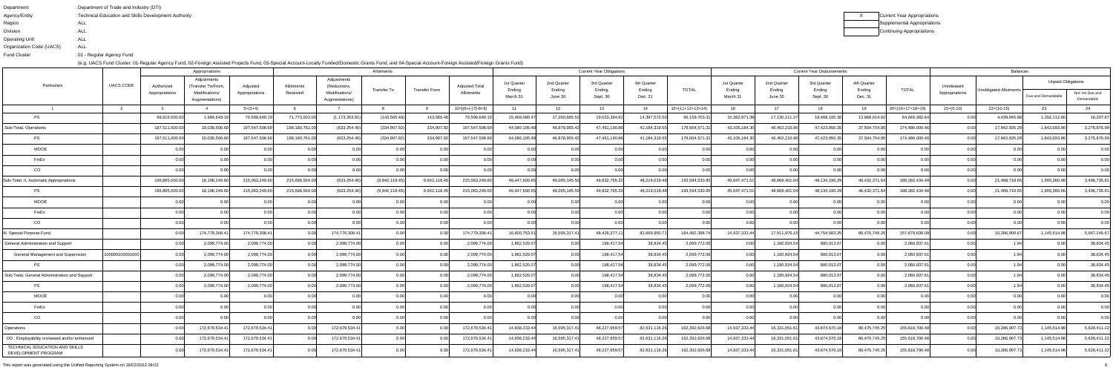| Department               | : Department of Trade and Industry (DTI)               |
|--------------------------|--------------------------------------------------------|
| Agency/Entity            | : Technical Education and Skills Development Authority |
| Region                   | : ALL                                                  |
| <b>Division</b>          | : ALL                                                  |
| <b>Operating Unit</b>    | : ALL                                                  |
| Organization Code (UACS) | : ALL                                                  |
| <b>Fund Cluster</b>      | :01 - Regular Agency Fund                              |
|                          |                                                        |

| Current Year Appropriations |
|-----------------------------|
| Supplemental Appropriations |
| Continuing Appropriations   |

This report was generated using the Unified Reporting System on 18/02/2022 08:02 $\sim$ 

|                                                       |                  |                | Appropriations                    |                |                |                                  | Allotments     |                      | <b>Current Year Obligations</b> |                       |                       |                       |                       |                    |                       | <b>Current Year Disbursements</b> |                       | <b>Balances</b>       |                    |                   |                        |                           |                               |
|-------------------------------------------------------|------------------|----------------|-----------------------------------|----------------|----------------|----------------------------------|----------------|----------------------|---------------------------------|-----------------------|-----------------------|-----------------------|-----------------------|--------------------|-----------------------|-----------------------------------|-----------------------|-----------------------|--------------------|-------------------|------------------------|---------------------------|-------------------------------|
| Particulars                                           | <b>UACS CODE</b> | Authorized     | Adjustments<br>(Transfer To/From, | Adiusted       | Allotments     | Adjustments<br>(Reductions       | Transfer To    | <b>Transfer From</b> | <b>Adiusted Total</b>           | 1st Quarter<br>Ending | 2nd Quarter<br>Ending | 3rd Quarter<br>Ending | 4th Quarter<br>Ending | TOTAL              | 1st Quarter<br>Ending | 2nd Quarter<br>Ending             | 3rd Quarter<br>Ending | 4th Quarter<br>Ending | <b>TOTAL</b>       | Unreleased        | Unobligated Allotments | <b>Unpaid Obligations</b> |                               |
|                                                       |                  | Appropriations | Modifications/<br>Augmentations)  | Appropriations | Received       | Modifications/<br>Augmentations) |                |                      | Allotments                      | March 31              | June 30               | Sept. 30              | Dec. 31               |                    | March 31              | June 30                           | Sept. 30              | Dec. 31               |                    | Appropriations    |                        | Due and Demandable        | Not Yet Due and<br>Demandable |
|                                                       |                  |                |                                   | $5=(3+4)$      |                |                                  |                |                      | $10=[(6+(-)7)-8+9]$             | 11                    | 12 <sup>7</sup>       | 13                    | 14                    | $15=(11+12+13+14)$ |                       | 17                                | 18                    | 19                    | $20=(16+17+18+19)$ | $21=(5-10)$       | $22=(10-15)$           | 23                        |                               |
| PS                                                    |                  | 68,615,000.0   | 1,984,649.1                       | 70,599,649.    | 71,773,003.00  | (1, 173, 353.8                   | (143, 565.48)  | 143,565.48           | 70,599,649.1                    | 15,468,080.4          | 17,260,665.52         | 19,033,384.82         | 14,397,572.50         | 66,159,703.3       | 15,362,971.39         | 17,130,211.2                      | 18,488,185.3          | 13,868,014.6          | 64,849,382.64      | 0.00              | 4,439,945.88           | 1,292,112.80              | 18,207.87                     |
| Sub-Total, Operations                                 |                  | 187,511,000.0  | 10,036,506.60                     | 197,547,506.6  | 198,180,761.00 | (633,254.40                      | (334, 907.92)  | 334,907.92           | 197,547,506.60                  | 44,080,105.48         | 46,878,955.42         | 47,461,190.86         | 41,184,319.55         | 179,604,571.31     | 43,105,184.30         | 46,452,210.96                     | 47,423,850.3          | 37,504,754.8          | 174,486,000.4      | 0.00              | 17,942,935.29          | 1,842,693.86              | 3,275,876.99                  |
| <b>PS</b>                                             |                  | 187,511,000.0  | 10,036,506.60                     | 197,547,506.6  | 198,180,761.00 | (633, 254.40)                    | (334, 907.92)  | 334,907.92           | 197,547,506.60                  | 44,080,105.48         | 46,878,955.42         | 47,461,190.86         | 41,184,319.55         | 179,604,571.31     | 43,105,184.30         | 46,452,210.96                     | 47,423,850.3          | 37,504,754.85         | 174,486,000.46     | 0.00              | 17,942,935.29          | 1,842,693.86              | 3,275,876.99                  |
| <b>MOOE</b>                                           |                  |                |                                   |                |                |                                  |                |                      |                                 |                       | 0.00                  |                       |                       |                    | 0.00                  |                                   |                       |                       |                    |                   |                        |                           | 0.00                          |
| FinEx                                                 |                  | 0.00           | 0.00                              |                | 0.00           | 0.001                            | 0.00           | 0.00                 | 0.00                            | 0.00                  | 0.00                  | 0.00                  | 0.001                 | 0 U U              | 0.00                  | 0.00                              | 0.00                  | n nn                  | 0.00               | 0.00              | 0.00                   |                           | 0.00                          |
| CO                                                    |                  | 0.00           |                                   |                | 0.00           |                                  | _റ.ററി         | 0.00                 | 0.00                            | 0.00                  | 0.00                  |                       | 0.00                  |                    | 0.00 <sup>1</sup>     | ስ ሰሰ                              | n ool                 |                       |                    | 0.00 <sub>l</sub> | n ool                  |                           | 0.00                          |
| Sub-Total, II. Automatic Appropriations               |                  | 196,865,000.0  | 18,198,249.60                     | 215,063,249.6  | 215,696,504.00 | (633, 254.40)                    | (9,942,118.45) | 9,942,118.45         | 215,063,249.60                  | 46.447.600.6          | 49,095,145.50         | 49,832,765.32         | 48,219,019.48         | 193,594,530.95     | 45,047,471.51         | 48,668,401.0                      | 48,134,190.2          | 46,432,371.6          | 188,282,434.48     | 0.00              | 21,468,718.65          | 1,905,360.66              | 3,406,735.81                  |
| <b>PS</b>                                             |                  | 196,865,000.0  | 18,198,249.60                     | 215,063,249.6  | 215,696,504.00 | (633, 254.40)                    | (9,942,118.45) | 9,942,118.45         | 215,063,249.60                  | 46.447.600.65         | 49,095,145.50         | 49,832,765.32         | 48,219,019.48         | 193,594,530.95     | 45,047,471.51         | 48,668,401.0                      | 48,134,190.2          | 46,432,371.64         | 188,282,434.48     | 0.00              | 21,468,718.65          | 1,905,360.66              | 3,406,735.81                  |
| <b>MOOE</b>                                           |                  | 0.00           | 0.00                              | 0. UU          | 0.00           | 0. QQ                            | _റ.ററി         | 0.00                 | 0.00                            | -0.00                 | 0.00                  | 0.001                 | 0.00                  | 0.00               | 0.00                  | 0.00 <sup>1</sup>                 | 0.00                  |                       | 0.00               | 0.00 <sub>l</sub> | 0.00                   |                           | 0.00                          |
| FinEx                                                 |                  |                |                                   |                |                |                                  |                | 0.00                 |                                 | 0.00                  | 0.00                  |                       | 0.00                  |                    | 0.00                  |                                   | 0.00                  |                       | 0.00               | 0.00              |                        |                           | 0.00                          |
| CO                                                    |                  |                |                                   |                | 0.00           |                                  | 0.00           | 0.00                 | 0.0                             | 0.00                  | 0.00                  |                       | 0.00                  |                    | 0.001                 |                                   |                       |                       | 0.00               | 0.00              |                        |                           | 0.00                          |
| Special Purpose Fund                                  |                  |                | 174,779,308.41                    | 174,779,308.4  | 0.00           | 174,779,308.4                    | 0.00           |                      | 174,779,308.4                   | 16,800,753.51         | 16,595,317.41         | 48,426,377.1          | 82,669,950.7          | 164,492,398.74     | 14,937,333.44         | 17,511,976.1                      | 44,754,583.2          | 80,475,745.25         | 157,679,638.09     | 0.001             | 10,286,909.67          | 1.145.514.98              | 5,667,245.67                  |
| General Administration and Support                    |                  |                | 2,099,774.00                      | 2,099,774.00   |                | 2,099,774.0                      | 0.00           |                      | 2,099,774.00                    | 1,862,520.07          | 0.00                  | 198,417.54            | 38,834.45             | 2,099,772.06       | 0.00                  | 1,180,924.54                      | 880,013.07            |                       | 2,060,937.6        | 0.00              |                        |                           | 38,834.45                     |
| <b>General Management and Supervision</b>             | 100000100001000  |                | 2,099,774.00                      | 2,099,774.00   | 0.00           | 2,099,774.00                     | 0.00           | 0.00                 | 2,099,774.00                    | 1,862,520.07          | 0.00                  | 198,417.54            | 38,834.45             | 2,099,772.06       | 0.001                 | 1,180,924.54                      | 880,013.07            | n ool                 | 2,060,937.61       | 0.00              |                        | 0.00                      | 38,834.45                     |
| <b>PS</b>                                             |                  |                | 2,099,774.00                      | 2,099,774.0    | 0.00L          | 2,099,774.0                      | 0.00           |                      | 2,099,774.00                    | 1,862,520.0           | 0.00                  | 198,417.54            | 38.834.45             | 2,099,772.06       | 0.00                  | 1,180,924.54                      | 880,013.07            |                       | 2,060,937.6        | 0.001             |                        |                           | 38,834.45                     |
| Sub-Total, General Administration and Support         |                  |                | 2,099,774.00                      | 2,099,774.0    |                | 2,099,774.0                      | 0.00           |                      | 2,099,774.00                    | 1,862,520.07          | 0.00                  | 198,417.54            | 38,834.45             | 2,099,772.06       | 0.00                  | 1,180,924.54                      | 880,013.0             |                       | 2,060,937.6        |                   |                        | 0.00                      | 38,834.45                     |
| <b>PS</b>                                             |                  |                | 2,099,774.00                      | 2,099,774.00   |                | 2,099,774.00                     | 0.00           | 0.00                 | 2,099,774.00                    | 1,862,520.07          | 0.00                  | 198,417.54            | 38.834.45             | 2,099,772.06       | 0.001                 | 1,180,924.54                      | 880,013.07            | 0.001                 | 2,060,937.6        | 0.001             |                        | n nn                      | 38,834.45                     |
| <b>MOOE</b>                                           |                  |                |                                   |                |                |                                  |                |                      |                                 |                       | $\cap$ $\cap$         |                       |                       |                    |                       |                                   | റ ററി                 |                       |                    |                   |                        |                           | 0.00                          |
| FinEx                                                 |                  |                | 0.00                              |                | 0.00           |                                  | 0.00           | 0.00                 | 0.00                            | 0.00                  | 0.00                  | 0.00                  | 0.00                  | 0.00               | 0.00                  | 0.00                              |                       | 0.00                  | 0.00               | 0.00              | 0.00                   | 0.00                      | 0.00                          |
| CO                                                    |                  | 0.00           | 0.00                              |                | 0.00           |                                  | 0.00           | 0.00                 | 0.00                            | 0.00                  | 0.00                  | 0.00                  | 0.00                  |                    | 0.00                  | 0.00                              | 0.00                  |                       | 0.00               | 0.00              | 0.00                   |                           | 0.00                          |
| Operations                                            |                  |                | 172,679,534.41                    | 172,679,534.4  | 0.00           | 172,679,534.4                    | 0.00           | 0.00                 | 172,679,534.41                  | 14,938,233.44         | 16,595,317.41         | 48,227,959.57         | 82,631,116.26         | 162,392,626.68     | 14,937,333.44         | 16,331,051.61                     | 43,874,570.18         | 80,475,745.25         | 155,618,700.48     | 0.00              | 10,286,907.73          | 1,145,514.98              | 5,628,411.22                  |
| OO: Employability increased and/or enhanced           |                  |                | 172,679,534.41                    | 172,679,534.41 | 0.00           | 172,679,534.4                    | 0.00           | 0.00                 | 172,679,534.41                  | 14,938,233.44         | 16,595,317.41         | 48,227,959.57         | 82,631,116.26         | 162,392,626.68     | 14,937,333.44         | 16,331,051.61                     | 43,874,570.18         | 80,475,745.25         | 155,618,700.48     | 0.00              | 10,286,907.73          | 1,145,514.98              | 5,628,411.22                  |
| TECHNICAL EDUCATION AND SKILLS<br>DEVELOPMENT PROGRAM |                  | 0.00           | 172,679,534.41                    | 172,679,534.4  | 0.00           | 172,679,534.4                    | 0.00           | 0.00                 | 172,679,534.41                  | 14,938,233.44         | 16,595,317.41         | 48,227,959.57         | 82,631,116.26         | 162,392,626.68     | 14,937,333.44         | 16,331,051.61                     | 43,874,570.18         | 80,475,745.25         | 155,618,700.48     | 0.00              | 10,286,907.73          | 1,145,514.98              | 5,628,411.22                  |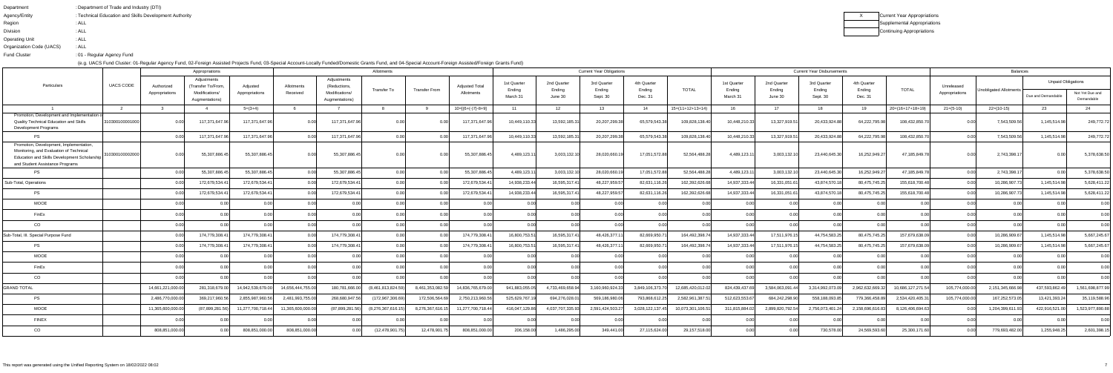| : Department of Trade and Industry (DTI)               |
|--------------------------------------------------------|
| : Technical Education and Skills Development Authority |
| : ALL                                                  |
| : ALL                                                  |
| : ALL                                                  |
| : ALL                                                  |
| :01 - Regular Agency Fund                              |
|                                                        |

| Current Year Appropriations |
|-----------------------------|
| Supplemental Appropriations |
| Continuing Appropriations   |

|                                                                                                                                                                       | Allotments<br>Appropriations |                              |                                                                       |                            |                        |                                                                 |                    |                  |                                     |                                   |                                  | <b>Current Year Obligations</b>   |                                  |                    |                                   |                                  | <b>Current Year Disbursements</b> | <b>Balances</b>                  |                    |                              |                        |                                                 |                               |
|-----------------------------------------------------------------------------------------------------------------------------------------------------------------------|------------------------------|------------------------------|-----------------------------------------------------------------------|----------------------------|------------------------|-----------------------------------------------------------------|--------------------|------------------|-------------------------------------|-----------------------------------|----------------------------------|-----------------------------------|----------------------------------|--------------------|-----------------------------------|----------------------------------|-----------------------------------|----------------------------------|--------------------|------------------------------|------------------------|-------------------------------------------------|-------------------------------|
| Particulars                                                                                                                                                           | UACS CODE                    | Authorized<br>Appropriations | Adjustments<br>(Transfer To/From,<br>Modifications/<br>Augmentations) | Adiusted<br>Appropriations | Allotments<br>Received | Adjustments<br>(Reductions,<br>Modifications/<br>Augmentations) | Transfer To        | Transfer From    | <b>Adjusted Total</b><br>Allotments | 1st Quarter<br>Ending<br>March 31 | 2nd Quarter<br>Ending<br>June 30 | 3rd Quarter<br>Ending<br>Sept. 30 | 4th Quarter<br>Ending<br>Dec. 31 | <b>TOTAL</b>       | 1st Quarter<br>Ending<br>March 31 | 2nd Quarter<br>Ending<br>June 30 | 3rd Quarter<br>Ending<br>Sept. 30 | 4th Quarter<br>Ending<br>Dec. 31 | <b>TOTAL</b>       | Unreleased<br>Appropriations | Unobligated Allotments | <b>Unpaid Obligations</b><br>Due and Demandable | Not Yet Due and<br>Demandable |
| $\overline{1}$                                                                                                                                                        | $\overline{2}$               | ્ર                           |                                                                       | $5=(3+4)$                  |                        | $\overline{7}$                                                  |                    |                  | $10=[(6+(-)7)-8+9]$                 | 11                                | 12                               | - 13                              | 14                               | $15=(11+12+13+14)$ | 16.                               | 17                               | 18                                | 19                               | $20=(16+17+18+19)$ | $21 = (5-10)$                | $22=(10-15)$           | 23                                              | 24                            |
| Promotion, Development and Implementation<br><b>Quality Technical Education and Skills</b><br><b>Development Programs</b>                                             | 310300100001000              |                              | 117,371,647.96                                                        | 117,371,647.9              |                        | 117,371,647.9                                                   | 0.00               |                  | 117.371.647.96                      | 10,449,110.33                     | 13,592,185.31                    | 20,207,299.38                     | 65,579,543.38                    | 109,828,138.40     | 10,448,210.33                     | 13,327,919.51                    | 20,433,924.88                     | 64,222,795.98                    | 108,432,850.7      |                              | 7,543,509.56           | 1,145,514.98                                    | 249,772.72                    |
| PS                                                                                                                                                                    |                              |                              | 117,371,647.96                                                        | 117,371,647.9              |                        | 117,371,647.96                                                  | 0.00               |                  | 117,371,647.96                      | 10,449,110.33                     | 13,592,185.31                    | 20,207,299.38                     | 65,579,543.38                    | 109,828,138.40     | 10,448,210.33                     | 13,327,919.51                    | 20,433,924.88                     | 64,222,795.9                     | 108,432,850.70     | 0.00                         | 7,543,509.56           | 1,145,514.98                                    | 249,772.72                    |
| Promotion, Development, Implementation.<br>Monitoring, and Evaluation of Technical<br>Education and Skills Development Scholarship<br>and Student Assistance Programs | 310300100002000              |                              | 55,307,886.45                                                         | 55,307,886.4               |                        | 55,307,886.4                                                    | 0.00               | 0.001            | 55,307,886.45                       | 4.489.123.1                       | 3,003,132.10                     | 28,020,660.1                      | 17,051,572.88                    | 52,564,488.28      | 4,489,123.11                      | 3,003,132.10                     | 23,440,645.30                     | 16,252,949.2                     | 47,185,849.78      | 0.OO                         | 2,743,398.1            |                                                 | 5,378,638.50                  |
| <b>PS</b>                                                                                                                                                             |                              |                              | 55,307,886.45                                                         | 55,307,886.4               | 0.00                   | 55,307,886.4                                                    | 0.00               | 0.00             | 55,307,886.4                        | 4,489,123.1                       | 3,003,132.10                     | 28,020,660.1                      | 17,051,572.88                    | 52,564,488.28      | 4,489,123.11                      | 3,003,132.10                     | 23,440,645.30                     | 16,252,949.2                     | 47,185,849.78      | 0.00                         | 2,743,398.1            | 0.00                                            | 5,378,638.50                  |
| Sub-Total, Operations                                                                                                                                                 |                              |                              | 172,679,534.41                                                        | 172,679,534.4              | 0.00                   | 172,679,534.4                                                   | 0.00               | 0.00             | 172,679,534.4                       | 14,938,233.44                     | 16,595,317.41                    | 48,227,959.5                      | 82,631,116.26                    | 162,392,626.68     | 14,937,333.44                     | 16.331.051.61                    | 43,874,570.18                     | 80,475,745.25                    | 155.618.700.48     | 0.00                         | 10,286,907.73          | 1,145,514.98                                    | 5,628,411.22                  |
| <b>PS</b>                                                                                                                                                             |                              |                              | 172,679,534.41                                                        | 172,679,534.4              | 0.00                   | 172,679,534.4                                                   | 0.00               | 0.00L            | 172,679,534.4                       | 14.938.233.44                     | 16,595,317.41                    | 48,227,959.5                      | 82,631,116.26                    | 162,392,626.68     | 14,937,333.44                     | 16,331,051.61                    | 43,874,570.18                     | 80,475,745.25                    | 155,618,700.48     | 0.001                        | 10,286,907.73          | 1.145.514.98                                    | 5,628,411.22                  |
| MOOE                                                                                                                                                                  |                              | 0 <sub>0</sub>               |                                                                       |                            | 0.00                   |                                                                 | 0.00               | 0.00             |                                     |                                   | 0.00                             |                                   | 0.00                             |                    | 0.00                              | n nr                             | 0.00                              |                                  | 0.00               | 0.00                         | 0.00                   |                                                 | 0.00                          |
| FinEx                                                                                                                                                                 |                              | 0 <sub>0</sub>               | - N-00                                                                |                            | 0.00                   |                                                                 | -0.00              | 0.00             |                                     |                                   | 0.00                             |                                   | 0.00                             |                    |                                   |                                  | 0.00                              |                                  | 0.00               | 0.00L                        | n nn                   |                                                 | 0.00                          |
| CO                                                                                                                                                                    |                              | 0 <sub>0</sub>               | 0.00                                                                  |                            | 0.00                   |                                                                 | 0.00               | 0.00             |                                     | 0.00                              | 0.00                             |                                   | 0.00                             | n nn               | 0.001                             | n nn                             | 0.00                              |                                  | 0.00               | 0.00 <sub>l</sub>            | 0.00                   | 0.OC                                            | 0.00                          |
| Sub-Total, III. Special Purpose Fund                                                                                                                                  |                              |                              | 174,779,308.41                                                        | 174,779,308.4              | 0.00                   | 174,779,308.4                                                   | 0.00               | 0.00             | 174,779,308.4                       | 16,800,753.51                     | 16,595,317.41                    | 48,426,377.1                      | 82,669,950.71                    | 164,492,398.74     | 14,937,333.44                     | 17.511.976.15                    | 44,754,583.25                     | 80,475,745.25                    | 157,679,638.09     | 0.00                         | 10,286,909.67          | 1,145,514.98                                    | 5,667,245.67                  |
| <b>PS</b>                                                                                                                                                             |                              | n nr                         | 174,779,308.41                                                        | 174,779,308.4              | 0.00                   | 174,779,308.4                                                   | 0.00               | 0.00             | 174,779,308.4                       | 16,800,753.51                     | 16,595,317.41                    | 48,426,377.1                      | 82,669,950.71                    | 164,492,398.74     | 14,937,333.44                     | 17,511,976.15                    | 44,754,583.25                     | 80,475,745.2                     | 157,679,638.09     | 0.00 <sub>l</sub>            | 10,286,909.67          | 1,145,514.98                                    | 5,667,245.67                  |
| <b>MOOE</b>                                                                                                                                                           |                              |                              | . വ                                                                   |                            | 0.00                   |                                                                 | 0.00               | 0.00             |                                     | 0.0                               | 0.00                             | 0.00                              | 0.00                             | n nn               | 0.001                             | n nr                             | 0.00                              |                                  |                    | 0.001                        | 0.00                   | ሰ ሰበ                                            | 0.00                          |
| FinEx                                                                                                                                                                 |                              | 0 <sub>0</sub>               |                                                                       |                            | 0.00                   |                                                                 |                    |                  |                                     |                                   | 0.00                             |                                   | 0.00                             |                    |                                   |                                  | 0.00                              |                                  |                    |                              |                        |                                                 | 0.00                          |
| CO                                                                                                                                                                    |                              |                              |                                                                       |                            |                        |                                                                 |                    | 0.00             |                                     | 0.00                              | 0.00                             |                                   | 0.00                             | 0.00               |                                   | 0.00                             | 0.00                              |                                  |                    | 0.00 <sub>l</sub>            | 0.00                   |                                                 | 0.00                          |
| <b>GRAND TOTAL</b>                                                                                                                                                    |                              | 14,661,221,000.0             | 281,318,679.00                                                        | 14,942,539,679.0           | 14,656,444,755.00      | 180.781.666.00                                                  | (8,461,813,824.59) | 8,461,353,082.59 | 14,836,765,679.00                   | 941.883.055.05                    | 4,733,469,658.94                 | 3,160,960,924.33                  | 3,849,106,373.70                 | 12,685,420,012.02  | 824,439,437.69                    | 3,584,063,091.44                 | 3,314,992,073.09                  | 2,962,632,669.3                  | 10,686,127,271.5   | 105,774,000.00               | 2,151,345,666.98       | 437,593,862.49                                  | 1,561,698,877.99              |
| <b>PS</b>                                                                                                                                                             |                              | 2,486,770,000.0              | 369,217,960.56                                                        | 2.855.987.960.5            | 2,481,993,755.00       | 268.680.947.56                                                  | (172,967,306.69    | 172.506.564.69   | 2,750,213,960.5                     | 525,629,767.19                    | 694,276,028.01                   | 569,186,980.06                    | 793,868,612.25                   | 2,582,961,387.51   | 512,623,553.67                    | 684,242,298.90                   | 558.188.093.85                    | 779,366,458.8                    | 2.534.420.405.     | 105.774.000.00               | 167,252,573.05         | 13,421,393.24                                   | 35,119,588.96                 |
| <b>MOOE</b>                                                                                                                                                           |                              | 11.365.600.000.0             | (87.899.281.56)                                                       | 11,277,700,718.44          | 11.365.600.000.00      | (87.899.281.56)                                                 | (8.276.367.616.15) | 8.276.367.616.15 | 11,277,700,718.44                   | 416.047.129.86                    | 4.037.707.335.93                 | 2.591.424.503.2                   | 3.028.122.137.45                 | 10.073.301.106.51  | 311.815.884.0                     | 2.899.820.792.54                 | 2,756,073,401.24                  | 2.158.696.616.83                 | 8.126.406.694.63   |                              | 1.204.399.611.93       | 422.916.521.00                                  | 1,523,977,890.88              |
| <b>FINEX</b>                                                                                                                                                          |                              | <b>00</b>                    | 0.00                                                                  |                            | 0.00                   |                                                                 |                    | 0.00             | 0.0(                                | 0.00                              | 0.00                             | 0.00                              | 0.00                             | 0.00               | 0.00                              | 0.00                             | 0.00                              |                                  | 0.001              | 0.00                         | 0.00                   | 0.00                                            | 0.00                          |
| CO                                                                                                                                                                    |                              | 808.851.000.0                |                                                                       | 808,851,000.0              | 808.851.000.00         |                                                                 | (12, 478, 901.75)  | 12,478,901.75    | 808,851,000.0                       | 206.158.00                        | 1,486,295.00                     | 349.441.00                        | 27,115,624.00                    | 29,157,518.00      |                                   |                                  | 730,578.00                        | 24,569,593.                      | 25,300,171.60      | 0.00                         | 779,693,482.00         | 1,255,948.25                                    | 2,601,398.15                  |
|                                                                                                                                                                       |                              |                              |                                                                       |                            |                        |                                                                 |                    |                  |                                     |                                   |                                  |                                   |                                  |                    |                                   |                                  |                                   |                                  |                    |                              |                        |                                                 |                               |